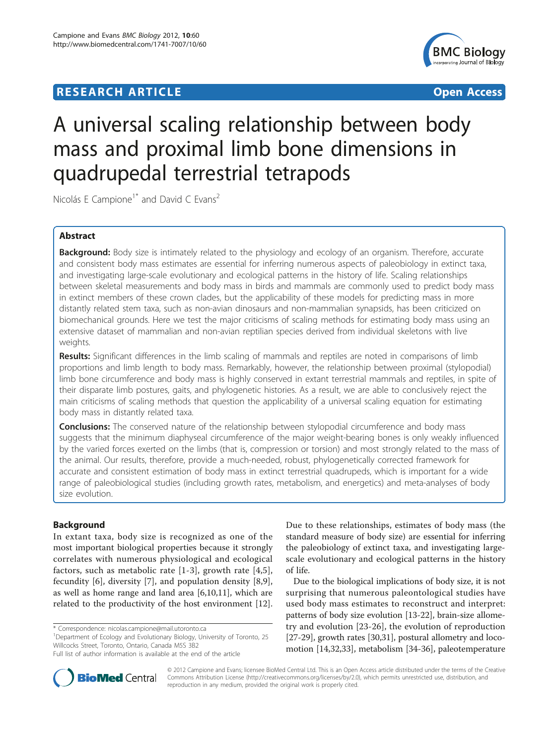# **RESEARCH ARTICLE Example 2014 CONSUMING ACCESS**



# A universal scaling relationship between body mass and proximal limb bone dimensions in quadrupedal terrestrial tetrapods

Nicolás E Campione<sup>1\*</sup> and David C Evans<sup>2</sup>

# Abstract

Background: Body size is intimately related to the physiology and ecology of an organism. Therefore, accurate and consistent body mass estimates are essential for inferring numerous aspects of paleobiology in extinct taxa, and investigating large-scale evolutionary and ecological patterns in the history of life. Scaling relationships between skeletal measurements and body mass in birds and mammals are commonly used to predict body mass in extinct members of these crown clades, but the applicability of these models for predicting mass in more distantly related stem taxa, such as non-avian dinosaurs and non-mammalian synapsids, has been criticized on biomechanical grounds. Here we test the major criticisms of scaling methods for estimating body mass using an extensive dataset of mammalian and non-avian reptilian species derived from individual skeletons with live weights.

Results: Significant differences in the limb scaling of mammals and reptiles are noted in comparisons of limb proportions and limb length to body mass. Remarkably, however, the relationship between proximal (stylopodial) limb bone circumference and body mass is highly conserved in extant terrestrial mammals and reptiles, in spite of their disparate limb postures, gaits, and phylogenetic histories. As a result, we are able to conclusively reject the main criticisms of scaling methods that question the applicability of a universal scaling equation for estimating body mass in distantly related taxa.

**Conclusions:** The conserved nature of the relationship between stylopodial circumference and body mass suggests that the minimum diaphyseal circumference of the major weight-bearing bones is only weakly influenced by the varied forces exerted on the limbs (that is, compression or torsion) and most strongly related to the mass of the animal. Our results, therefore, provide a much-needed, robust, phylogenetically corrected framework for accurate and consistent estimation of body mass in extinct terrestrial quadrupeds, which is important for a wide range of paleobiological studies (including growth rates, metabolism, and energetics) and meta-analyses of body size evolution.

# Background

In extant taxa, body size is recognized as one of the most important biological properties because it strongly correlates with numerous physiological and ecological factors, such as metabolic rate [\[1-3](#page-17-0)], growth rate [[4,5](#page-17-0)], fecundity [[6\]](#page-18-0), diversity [[7\]](#page-18-0), and population density [[8,9](#page-18-0)], as well as home range and land area [\[6,10,11\]](#page-18-0), which are related to the productivity of the host environment [\[12](#page-18-0)].

\* Correspondence: [nicolas.campione@mail.utoronto.ca](mailto:nicolas.campione@mail.utoronto.ca)

<sup>1</sup>Department of Ecology and Evolutionary Biology, University of Toronto, 25 Willcocks Street, Toronto, Ontario, Canada M5S 3B2

Due to these relationships, estimates of body mass (the standard measure of body size) are essential for inferring the paleobiology of extinct taxa, and investigating largescale evolutionary and ecological patterns in the history of life.

Due to the biological implications of body size, it is not surprising that numerous paleontological studies have used body mass estimates to reconstruct and interpret: patterns of body size evolution [[13-22\]](#page-18-0), brain-size allometry and evolution [[23-26](#page-18-0)], the evolution of reproduction [[27-29\]](#page-18-0), growth rates [[30,31](#page-18-0)], postural allometry and locomotion [\[14,32,33\]](#page-18-0), metabolism [[34](#page-18-0)-[36\]](#page-18-0), paleotemperature



© 2012 Campione and Evans; licensee BioMed Central Ltd. This is an Open Access article distributed under the terms of the Creative Commons Attribution License [\(http://creativecommons.org/licenses/by/2.0](http://creativecommons.org/licenses/by/2.0)), which permits unrestricted use, distribution, and reproduction in any medium, provided the original work is properly cited.

Full list of author information is available at the end of the article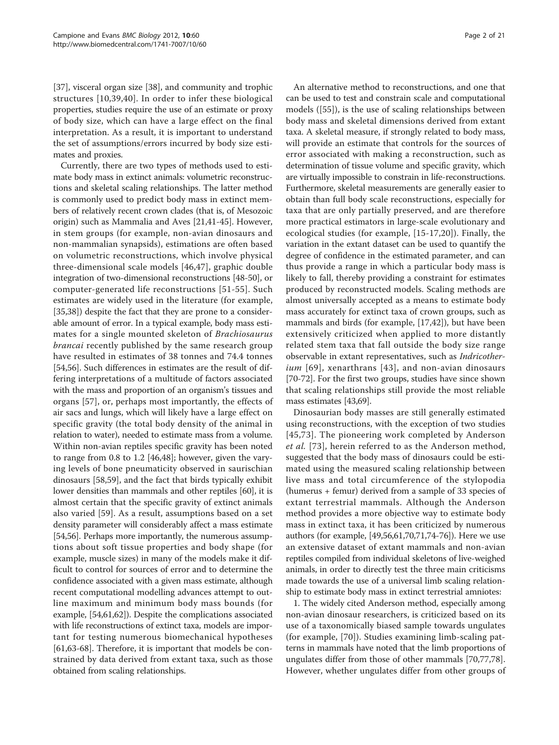[[37\]](#page-18-0), visceral organ size [\[38\]](#page-18-0), and community and trophic structures [[10](#page-18-0),[39,40\]](#page-18-0). In order to infer these biological properties, studies require the use of an estimate or proxy of body size, which can have a large effect on the final interpretation. As a result, it is important to understand the set of assumptions/errors incurred by body size estimates and proxies.

Currently, there are two types of methods used to estimate body mass in extinct animals: volumetric reconstructions and skeletal scaling relationships. The latter method is commonly used to predict body mass in extinct members of relatively recent crown clades (that is, of Mesozoic origin) such as Mammalia and Aves [[21,41-45\]](#page-18-0). However, in stem groups (for example, non-avian dinosaurs and non-mammalian synapsids), estimations are often based on volumetric reconstructions, which involve physical three-dimensional scale models [\[46,47](#page-18-0)], graphic double integration of two-dimensional reconstructions [\[48-50\]](#page-18-0), or computer-generated life reconstructions [[51-55\]](#page-18-0). Such estimates are widely used in the literature (for example, [[35,38](#page-18-0)]) despite the fact that they are prone to a considerable amount of error. In a typical example, body mass estimates for a single mounted skeleton of Brachiosaurus brancai recently published by the same research group have resulted in estimates of 38 tonnes and 74.4 tonnes [[54,56](#page-18-0)]. Such differences in estimates are the result of differing interpretations of a multitude of factors associated with the mass and proportion of an organism's tissues and organs [[57\]](#page-18-0), or, perhaps most importantly, the effects of air sacs and lungs, which will likely have a large effect on specific gravity (the total body density of the animal in relation to water), needed to estimate mass from a volume. Within non-avian reptiles specific gravity has been noted to range from 0.8 to 1.2 [\[46,48](#page-18-0)]; however, given the varying levels of bone pneumaticity observed in saurischian dinosaurs [\[58,](#page-18-0)[59\]](#page-19-0), and the fact that birds typically exhibit lower densities than mammals and other reptiles [\[60\]](#page-19-0), it is almost certain that the specific gravity of extinct animals also varied [[59\]](#page-19-0). As a result, assumptions based on a set density parameter will considerably affect a mass estimate [[54,56](#page-18-0)]. Perhaps more importantly, the numerous assumptions about soft tissue properties and body shape (for example, muscle sizes) in many of the models make it difficult to control for sources of error and to determine the confidence associated with a given mass estimate, although recent computational modelling advances attempt to outline maximum and minimum body mass bounds (for example, [\[54](#page-18-0)[,61,62](#page-19-0)]). Despite the complications associated with life reconstructions of extinct taxa, models are important for testing numerous biomechanical hypotheses [[61,63-68\]](#page-19-0). Therefore, it is important that models be constrained by data derived from extant taxa, such as those obtained from scaling relationships.

An alternative method to reconstructions, and one that can be used to test and constrain scale and computational models ([[55\]](#page-18-0)), is the use of scaling relationships between body mass and skeletal dimensions derived from extant taxa. A skeletal measure, if strongly related to body mass, will provide an estimate that controls for the sources of error associated with making a reconstruction, such as determination of tissue volume and specific gravity, which are virtually impossible to constrain in life-reconstructions. Furthermore, skeletal measurements are generally easier to obtain than full body scale reconstructions, especially for taxa that are only partially preserved, and are therefore more practical estimators in large-scale evolutionary and ecological studies (for example, [[15-17,20](#page-18-0)]). Finally, the variation in the extant dataset can be used to quantify the degree of confidence in the estimated parameter, and can thus provide a range in which a particular body mass is likely to fall, thereby providing a constraint for estimates produced by reconstructed models. Scaling methods are almost universally accepted as a means to estimate body mass accurately for extinct taxa of crown groups, such as mammals and birds (for example, [\[17,42\]](#page-18-0)), but have been extensively criticized when applied to more distantly related stem taxa that fall outside the body size range observable in extant representatives, such as Indricother $ium$  [[69\]](#page-19-0), xenarthrans [[43](#page-18-0)], and non-avian dinosaurs [[70](#page-19-0)-[72\]](#page-19-0). For the first two groups, studies have since shown that scaling relationships still provide the most reliable mass estimates [[43](#page-18-0)[,69\]](#page-19-0).

Dinosaurian body masses are still generally estimated using reconstructions, with the exception of two studies [[45,](#page-18-0)[73](#page-19-0)]. The pioneering work completed by Anderson et al. [[73](#page-19-0)], herein referred to as the Anderson method, suggested that the body mass of dinosaurs could be estimated using the measured scaling relationship between live mass and total circumference of the stylopodia (humerus + femur) derived from a sample of 33 species of extant terrestrial mammals. Although the Anderson method provides a more objective way to estimate body mass in extinct taxa, it has been criticized by numerous authors (for example, [\[49,56,](#page-18-0)[61,70,71,74-76\]](#page-19-0)). Here we use an extensive dataset of extant mammals and non-avian reptiles compiled from individual skeletons of live-weighed animals, in order to directly test the three main criticisms made towards the use of a universal limb scaling relationship to estimate body mass in extinct terrestrial amniotes:

1. The widely cited Anderson method, especially among non-avian dinosaur researchers, is criticized based on its use of a taxonomically biased sample towards ungulates (for example, [\[70](#page-19-0)]). Studies examining limb-scaling patterns in mammals have noted that the limb proportions of ungulates differ from those of other mammals [[70,77,78](#page-19-0)]. However, whether ungulates differ from other groups of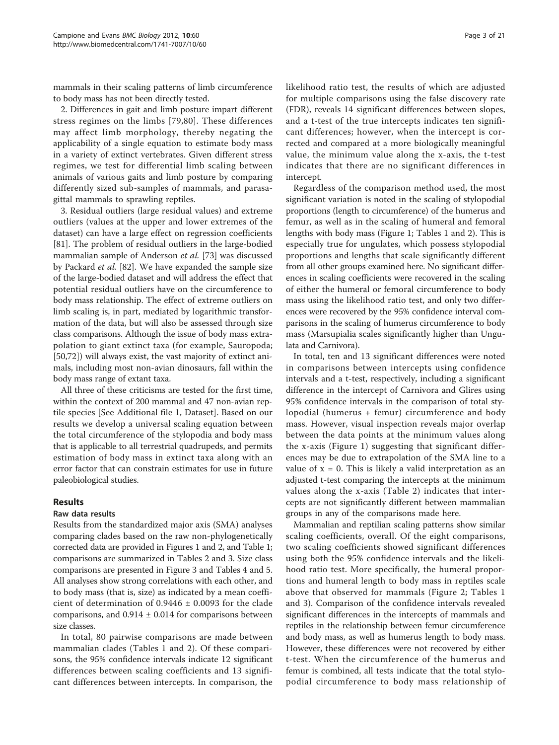mammals in their scaling patterns of limb circumference to body mass has not been directly tested.

2. Differences in gait and limb posture impart different stress regimes on the limbs [[79](#page-19-0),[80\]](#page-19-0). These differences may affect limb morphology, thereby negating the applicability of a single equation to estimate body mass in a variety of extinct vertebrates. Given different stress regimes, we test for differential limb scaling between animals of various gaits and limb posture by comparing differently sized sub-samples of mammals, and parasagittal mammals to sprawling reptiles.

3. Residual outliers (large residual values) and extreme outliers (values at the upper and lower extremes of the dataset) can have a large effect on regression coefficients [[81\]](#page-19-0). The problem of residual outliers in the large-bodied mammalian sample of Anderson et al. [[73](#page-19-0)] was discussed by Packard et al. [\[82](#page-19-0)]. We have expanded the sample size of the large-bodied dataset and will address the effect that potential residual outliers have on the circumference to body mass relationship. The effect of extreme outliers on limb scaling is, in part, mediated by logarithmic transformation of the data, but will also be assessed through size class comparisons. Although the issue of body mass extrapolation to giant extinct taxa (for example, Sauropoda; [[50,](#page-18-0)[72\]](#page-19-0)) will always exist, the vast majority of extinct animals, including most non-avian dinosaurs, fall within the body mass range of extant taxa.

All three of these criticisms are tested for the first time, within the context of 200 mammal and 47 non-avian reptile species [See Additional file [1,](#page-17-0) Dataset]. Based on our results we develop a universal scaling equation between the total circumference of the stylopodia and body mass that is applicable to all terrestrial quadrupeds, and permits estimation of body mass in extinct taxa along with an error factor that can constrain estimates for use in future paleobiological studies.

#### Results

## Raw data results

Results from the standardized major axis (SMA) analyses comparing clades based on the raw non-phylogenetically corrected data are provided in Figures [1](#page-3-0) and [2](#page-4-0), and Table [1](#page-5-0); comparisons are summarized in Tables [2](#page-7-0) and [3](#page-8-0). Size class comparisons are presented in Figure [3](#page-8-0) and Tables [4](#page-9-0) and [5](#page-10-0). All analyses show strong correlations with each other, and to body mass (that is, size) as indicated by a mean coefficient of determination of  $0.9446 \pm 0.0093$  for the clade comparisons, and  $0.914 \pm 0.014$  for comparisons between size classes.

In total, 80 pairwise comparisons are made between mammalian clades (Tables [1](#page-5-0) and [2](#page-7-0)). Of these comparisons, the 95% confidence intervals indicate 12 significant differences between scaling coefficients and 13 significant differences between intercepts. In comparison, the likelihood ratio test, the results of which are adjusted for multiple comparisons using the false discovery rate (FDR), reveals 14 significant differences between slopes, and a t-test of the true intercepts indicates ten significant differences; however, when the intercept is corrected and compared at a more biologically meaningful value, the minimum value along the x-axis, the t-test indicates that there are no significant differences in intercept.

Regardless of the comparison method used, the most significant variation is noted in the scaling of stylopodial proportions (length to circumference) of the humerus and femur, as well as in the scaling of humeral and femoral lengths with body mass (Figure [1;](#page-3-0) Tables [1](#page-5-0) and [2](#page-7-0)). This is especially true for ungulates, which possess stylopodial proportions and lengths that scale significantly different from all other groups examined here. No significant differences in scaling coefficients were recovered in the scaling of either the humeral or femoral circumference to body mass using the likelihood ratio test, and only two differences were recovered by the 95% confidence interval comparisons in the scaling of humerus circumference to body mass (Marsupialia scales significantly higher than Ungulata and Carnivora).

In total, ten and 13 significant differences were noted in comparisons between intercepts using confidence intervals and a t-test, respectively, including a significant difference in the intercept of Carnivora and Glires using 95% confidence intervals in the comparison of total stylopodial (humerus + femur) circumference and body mass. However, visual inspection reveals major overlap between the data points at the minimum values along the x-axis (Figure [1](#page-3-0)) suggesting that significant differences may be due to extrapolation of the SMA line to a value of  $x = 0$ . This is likely a valid interpretation as an adjusted t-test comparing the intercepts at the minimum values along the x-axis (Table [2\)](#page-7-0) indicates that intercepts are not significantly different between mammalian groups in any of the comparisons made here.

Mammalian and reptilian scaling patterns show similar scaling coefficients, overall. Of the eight comparisons, two scaling coefficients showed significant differences using both the 95% confidence intervals and the likelihood ratio test. More specifically, the humeral proportions and humeral length to body mass in reptiles scale above that observed for mammals (Figure [2;](#page-4-0) Tables [1](#page-5-0) and [3](#page-8-0)). Comparison of the confidence intervals revealed significant differences in the intercepts of mammals and reptiles in the relationship between femur circumference and body mass, as well as humerus length to body mass. However, these differences were not recovered by either t-test. When the circumference of the humerus and femur is combined, all tests indicate that the total stylopodial circumference to body mass relationship of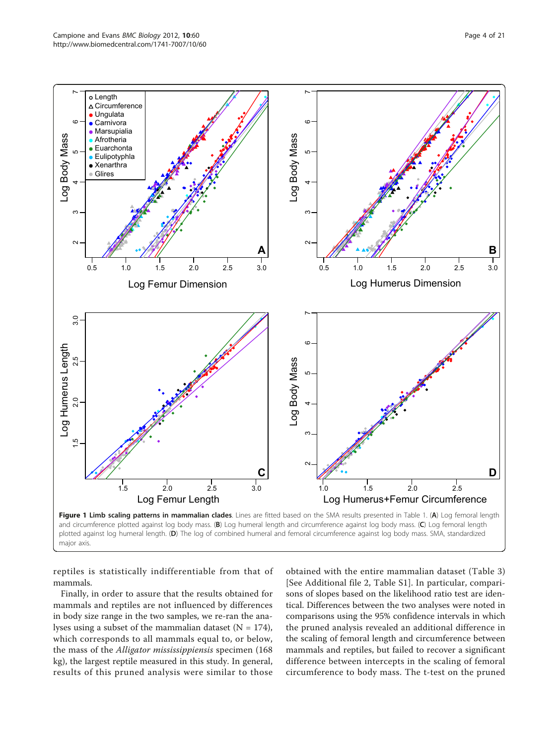<span id="page-3-0"></span>

major axis.

reptiles is statistically indifferentiable from that of mammals.

Finally, in order to assure that the results obtained for mammals and reptiles are not influenced by differences in body size range in the two samples, we re-ran the analyses using a subset of the mammalian dataset ( $N = 174$ ), which corresponds to all mammals equal to, or below, the mass of the Alligator mississippiensis specimen (168 kg), the largest reptile measured in this study. In general, results of this pruned analysis were similar to those

obtained with the entire mammalian dataset (Table [3](#page-8-0)) [See Additional file [2](#page-17-0), Table S1]. In particular, comparisons of slopes based on the likelihood ratio test are identical. Differences between the two analyses were noted in comparisons using the 95% confidence intervals in which the pruned analysis revealed an additional difference in the scaling of femoral length and circumference between mammals and reptiles, but failed to recover a significant difference between intercepts in the scaling of femoral circumference to body mass. The t-test on the pruned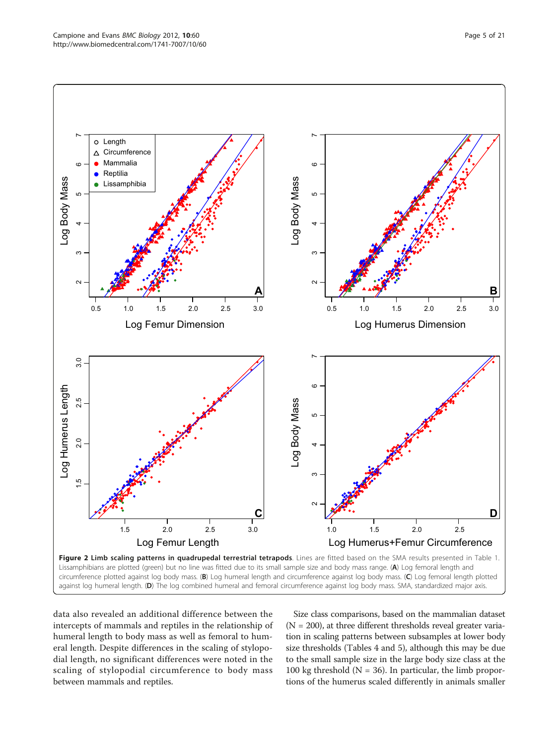<span id="page-4-0"></span>

data also revealed an additional difference between the intercepts of mammals and reptiles in the relationship of humeral length to body mass as well as femoral to humeral length. Despite differences in the scaling of stylopodial length, no significant differences were noted in the scaling of stylopodial circumference to body mass between mammals and reptiles.

Size class comparisons, based on the mammalian dataset  $(N = 200)$ , at three different thresholds reveal greater variation in scaling patterns between subsamples at lower body size thresholds (Tables [4](#page-9-0) and [5\)](#page-10-0), although this may be due to the small sample size in the large body size class at the 100 kg threshold ( $N = 36$ ). In particular, the limb proportions of the humerus scaled differently in animals smaller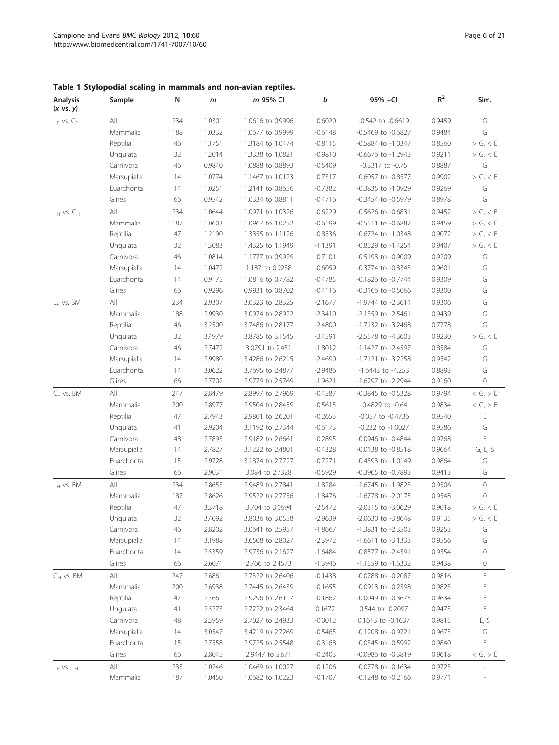<span id="page-5-0"></span>Table 1 Stylopodial scaling in mammals and non-avian reptiles.

| <b>Analysis</b><br>$(x \text{ vs. } y)$ | Sample             | N   | $\mathsf{m}$ | m 95% CI         | b         | $95% + C1$             | $R^2$  | Sim.                     |
|-----------------------------------------|--------------------|-----|--------------|------------------|-----------|------------------------|--------|--------------------------|
| $L_F$ vs. $C_F$                         | All                | 234 | 1.0301       | 1.0616 to 0.9996 | $-0.6020$ | -0.542 to -0.6619      | 0.9459 | G                        |
|                                         | Mammalia           | 188 | 1.0332       | 1.0677 to 0.9999 | $-0.6148$ | -0.5469 to -0.6827     | 0.9484 | G                        |
|                                         | Reptilia           | 46  | 1.1751       | 1.3184 to 1.0474 | $-0.8115$ | -0.5884 to -1.0347     | 0.8560 | > G, < E                 |
|                                         | Ungulata           | 32  | 1.2014       | 1.3338 to 1.0821 | $-0.9810$ | -0.6676 to -1.2943     | 0.9211 | $>$ G, $<$ E             |
|                                         | Carnivora          | 46  | 0.9840       | 1.0888 to 0.8893 | $-0.5409$ | -0.3317 to -0.75       | 0.8887 | G                        |
|                                         | Marsupialia        | 14  | 1.0774       | 1.1467 to 1.0123 | $-0.7317$ | -0.6057 to -0.8577     | 0.9902 | > G, < E                 |
|                                         | Euarchonta         | 14  | 1.0251       | 1.2141 to 0.8656 | $-0.7382$ | -0.3835 to -1.0929     | 0.9269 | G                        |
|                                         | Glires             | 66  | 0.9542       | 1.0334 to 0.8811 | $-0.4716$ | -0.3454 to -0.5979     | 0.8978 | G                        |
| $L_H$ vs. $C_H$                         | All                | 234 | 1.0644       | 1.0971 to 1.0326 | $-0.6229$ | -0.5626 to -0.6831     | 0.9452 | > G, < E                 |
|                                         | Mammalia           | 187 | 1.0603       | 1.0967 to 1.0252 | $-0.6199$ | -0.5511 to -0.6887     | 0.9459 | $>$ G, $<$ E             |
|                                         | Reptilia           | 47  | 1.2190       | 1.3355 to 1.1126 | $-0.8536$ | -0.6724 to -1.0348     | 0.9072 | > G, < E                 |
|                                         | Ungulata           | 32  | 1.3083       | 1.4325 to 1.1949 | $-1.1391$ | -0.8529 to -1.4254     | 0.9407 | $>$ G, $<$ E             |
|                                         | Carnivora          | 46  | 1.0814       | 1.1777 to 0.9929 | $-0.7101$ | -0.5193 to -0.9009     | 0.9209 | G                        |
|                                         | Marsupialia        | 14  | 1.0472       | 1.187 to 0.9238  | $-0.6059$ | -0.3774 to -0.8343     | 0.9601 | G                        |
|                                         | Euarchonta         | 14  | 0.9175       | 1.0816 to 0.7782 | $-0.4785$ | -0.1826 to -0.7744     | 0.9309 | G                        |
|                                         | Glires             | 66  | 0.9296       | 0.9931 to 0.8702 | $-0.4116$ | $-0.3166$ to $-0.5066$ | 0.9300 | G                        |
| LF VS. BM                               | All                | 234 | 2.9307       | 3.0323 to 2.8325 | $-2.1677$ | -1.9744 to -2.3611     | 0.9306 | G                        |
|                                         | Mammalia           | 188 | 2.9930       | 3.0974 to 2.8922 | $-2.3410$ | -2.1359 to -2.5461     | 0.9439 | G                        |
|                                         | Reptilia           | 46  | 3.2500       | 3.7486 to 2.8177 | $-2.4800$ | -1.7132 to -3.2468     | 0.7778 | G                        |
|                                         | Ungulata           | 32  | 3.4979       | 3.8785 to 3.1545 | $-3.4591$ | -2.5578 to -4.3603     | 0.9230 | $>$ G, $<$ E             |
|                                         | Carnivora          | 46  | 2.7472       | 3.0791 to 2.451  | $-1.8012$ | -1.1427 to -2.4597     | 0.8584 | G                        |
|                                         | Marsupialia        | 14  | 2.9980       | 3.4286 to 2.6215 | $-2.4690$ | -1.7121 to -3.2258     | 0.9542 | G                        |
|                                         | Euarchonta         | 14  | 3.0622       | 3.7695 to 2.4877 | $-2.9486$ | -1.6443 to -4.253      | 0.8893 | G                        |
|                                         | Glires             | 66  | 2.7702       | 2.9779 to 2.5769 | $-1.9621$ | -1.6297 to -2.2944     | 0.9160 | $\circ$                  |
| $C_F$ vs. BM                            | All                | 247 | 2.8479       | 2.8997 to 2.7969 | $-0.4587$ | -0.3845 to -0.5328     | 0.9794 | $<$ G <sub>1</sub> $>$ E |
|                                         | Mammalia           | 200 | 2.8977       | 2.9504 to 2.8459 | $-0.5615$ | $-0.4829$ to $-0.64$   | 0.9834 | < G, > E                 |
|                                         | Reptilia           | 47  | 2.7943       | 2.9801 to 2.6201 | $-0.2653$ | -0.057 to -0.4736      | 0.9540 | Ε                        |
|                                         | Ungulata           | 41  | 2.9204       | 3.1192 to 2.7344 | $-0.6173$ | -0.232 to -1.0027      | 0.9586 | G                        |
|                                         | Carnivora          | 48  | 2.7893       | 2.9182 to 2.6661 | $-0.2895$ | -0.0946 to -0.4844     | 0.9768 | E                        |
|                                         | Marsupialia        | 14  | 2.7827       | 3.1222 to 2.4801 | $-0.4328$ | -0.0138 to -0.8518     | 0.9664 | G, E, S                  |
|                                         | Euarchonta         | 15  | 2.9728       | 3.1874 to 2.7727 | $-0.7271$ | -0.4393 to -1.0149     | 0.9864 | G                        |
|                                         | Glires             | 66  | 2.9031       | 3.084 to 2.7328  | $-0.5929$ | -0.3965 to -0.7893     | 0.9413 | G                        |
| $L_H$ vs. BM                            | All                | 234 | 2.8653       | 2.9489 to 2.7841 | $-1.8284$ | -1.6745 to -1.9823     | 0.9506 | $\circ$                  |
|                                         | Mammalia           | 187 | 2.8626       | 2.9522 to 2.7756 | $-1.8476$ | -1.6778 to -2.0175     | 0.9548 | $\circ$                  |
|                                         | Reptilia           | 47  | 3.3718       | 3.704 to 3.0694  | $-2.5472$ | -2.0315 to -3.0629     | 0.9018 | $>$ G, $<$ E             |
|                                         | Ungulata           | 32  | 3.4092       | 3.8036 to 3.0558 | $-2.9639$ | -2.0630 to -3.8648     | 0.9135 | $>$ G, $<$ E             |
|                                         | Carnivora          | 46  | 2.8202       | 3.0641 to 2.5957 | $-1.8667$ | -1.3831 to -2.3503     | 0.9253 | G                        |
|                                         | Marsupialia        | 14  | 3.1988       | 3.6508 to 2.8027 | $-2.3972$ | $-1.6611$ to $-3.1333$ | 0.9556 | G                        |
|                                         | Euarchonta         | 14  | 2.5359       | 2.9736 to 2.1627 | $-1.6484$ | -0.8577 to -2.4391     | 0.9354 | 0                        |
|                                         | Glires             | 66  | 2.6071       | 2.766 to 2.4573  | $-1.3946$ | -1.1559 to -1.6332     | 0.9438 | 0                        |
| $C_H$ vs. BM                            | All                | 247 | 2.6861       | 2.7322 to 2.6406 | $-0.1438$ | -0.0788 to -0.2087     | 0.9816 | Ε                        |
|                                         | Mammalia           | 200 | 2.6938       | 2.7445 to 2.6439 | $-0.1655$ | -0.0913 to -0.2398     | 0.9823 | Ε                        |
|                                         | Reptilia           | 47  | 2.7661       | 2.9296 to 2.6117 | $-0.1862$ | -0.0049 to -0.3675     | 0.9634 | Ε                        |
|                                         | Ungulata           | 41  | 2.5273       | 2.7222 to 2.3464 | 0.1672    | 0.544 to -0.2097       | 0.9473 | Е                        |
|                                         | Carnivora          | 48  | 2.5959       | 2.7027 to 2.4933 | $-0.0012$ | 0.1613 to -0.1637      | 0.9815 | E, S                     |
|                                         | Marsupialia        | 14  | 3.0547       | 3.4219 to 2.7269 | $-0.5465$ | -0.1208 to -0.9721     | 0.9673 | G                        |
|                                         | Euarchonta         | 15  | 2.7558       | 2.9725 to 2.5548 | $-0.3168$ | -0.0345 to -0.5992     | 0.9840 | Ε                        |
|                                         | Glires             | 66  | 2.8045       | 2.9447 to 2.671  | $-0.2403$ | -0.0986 to -0.3819     | 0.9618 | $<$ G, $> E$             |
| $L_F$ vs. $L_H$                         | $\left\ A\right\ $ | 233 | 1.0246       | 1.0469 to 1.0027 | $-0.1206$ | -0.0778 to -0.1634     | 0.9723 |                          |
|                                         | Mammalia           | 187 | 1.0450       | 1.0682 to 1.0223 | $-0.1707$ | -0.1248 to -0.2166     | 0.9771 |                          |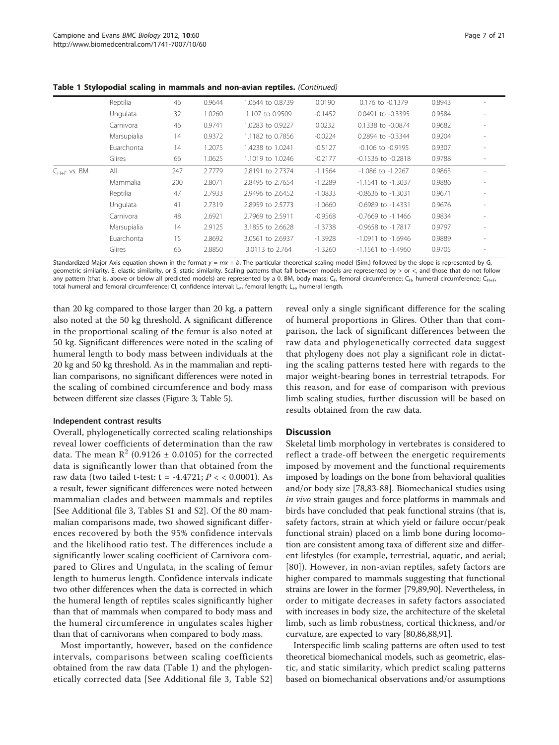|                  | Reptilia    | 46  | 0.9644 | 1.0644 to 0.8739 | 0.0190    | 0.176 to -0.1379       | 0.8943 |                          |
|------------------|-------------|-----|--------|------------------|-----------|------------------------|--------|--------------------------|
|                  | Ungulata    | 32  | 1.0260 | 1.107 to 0.9509  | $-0.1452$ | 0.0491 to -0.3395      | 0.9584 |                          |
|                  | Carnivora   | 46  | 0.9741 | 1.0283 to 0.9227 | 0.0232    | 0.1338 to -0.0874      | 0.9682 |                          |
|                  | Marsupialia | 14  | 0.9372 | 1.1182 to 0.7856 | $-0.0224$ | 0.2894 to -0.3344      | 0.9204 | $\overline{\phantom{a}}$ |
|                  | Euarchonta  | 14  | 1.2075 | 1.4238 to 1.0241 | $-0.5127$ | $-0.106$ to $-0.9195$  | 0.9307 |                          |
|                  | Glires      | 66  | 1.0625 | 1.1019 to 1.0246 | $-0.2177$ | $-0.1536$ to $-0.2818$ | 0.9788 | $\overline{\phantom{a}}$ |
| $C_{H+F}$ vs. BM | All         | 247 | 2.7779 | 2.8191 to 2.7374 | $-1.1564$ | $-1.086$ to $-1.2267$  | 0.9863 |                          |
|                  | Mammalia    | 200 | 2.8071 | 2.8495 to 2.7654 | $-1.2289$ | $-1.1541$ to $-1.3037$ | 0.9886 |                          |
|                  | Reptilia    | 47  | 2.7933 | 2.9496 to 2.6452 | $-1.0833$ | $-0.8636$ to $-1.3031$ | 0.9671 | $\overline{\phantom{a}}$ |
|                  | Ungulata    | 41  | 2.7319 | 2,8959 to 2,5773 | $-1.0660$ | -0.6989 to -1.4331     | 0.9676 | $\overline{\phantom{a}}$ |
|                  | Carnivora   | 48  | 2.6921 | 2.7969 to 2.5911 | $-0.9568$ | $-0.7669$ to $-1.1466$ | 0.9834 | $\overline{\phantom{a}}$ |
|                  | Marsupialia | 14  | 2.9125 | 3.1855 to 2.6628 | $-1.3738$ | -0.9658 to -1.7817     | 0.9797 |                          |
|                  | Euarchonta  | 15  | 2.8692 | 3.0561 to 2.6937 | $-1.3928$ | $-1.0911$ to $-1.6946$ | 0.9889 |                          |
|                  | Glires      | 66  | 2.8850 | 3.0113 to 2.764  | $-1.3260$ | $-1.1561$ to $-1.4960$ | 0.9705 |                          |
|                  |             |     |        |                  |           |                        |        |                          |

Table 1 Stylopodial scaling in mammals and non-avian reptiles. (Continued)

Standardized Major Axis equation shown in the format  $y = mx + b$ . The particular theoretical scaling model (Sim.) followed by the slope is represented by G geometric similarity, E, elastic similarity, or S, static similarity. Scaling patterns that fall between models are represented by > or <, and those that do not follow any pattern (that is, above or below all predicted models) are represented by a 0, BM, body mass: C<sub>F</sub>, femoral circumference; C<sub>H</sub>, humeral circumference; C<sub>H+F</sub>, total humeral and femoral circumference; CI, confidence interval; L<sub>F</sub>, femoral length; L<sub>H</sub>, humeral length.

than 20 kg compared to those larger than 20 kg, a pattern also noted at the 50 kg threshold. A significant difference in the proportional scaling of the femur is also noted at 50 kg. Significant differences were noted in the scaling of humeral length to body mass between individuals at the 20 kg and 50 kg threshold. As in the mammalian and reptilian comparisons, no significant differences were noted in the scaling of combined circumference and body mass between different size classes (Figure [3;](#page-8-0) Table [5](#page-10-0)).

#### Independent contrast results

Overall, phylogenetically corrected scaling relationships reveal lower coefficients of determination than the raw data. The mean  $R^2$  (0.9126 ± 0.0105) for the corrected data is significantly lower than that obtained from the raw data (two tailed t-test:  $t = -4.4721$ ;  $P < 0.0001$ ). As a result, fewer significant differences were noted between mammalian clades and between mammals and reptiles [See Additional file [3](#page-17-0), Tables S1 and S2]. Of the 80 mammalian comparisons made, two showed significant differences recovered by both the 95% confidence intervals and the likelihood ratio test. The differences include a significantly lower scaling coefficient of Carnivora compared to Glires and Ungulata, in the scaling of femur length to humerus length. Confidence intervals indicate two other differences when the data is corrected in which the humeral length of reptiles scales significantly higher than that of mammals when compared to body mass and the humeral circumference in ungulates scales higher than that of carnivorans when compared to body mass.

Most importantly, however, based on the confidence intervals, comparisons between scaling coefficients obtained from the raw data (Table [1\)](#page-5-0) and the phylogenetically corrected data [See Additional file [3](#page-17-0), Table S2]

reveal only a single significant difference for the scaling of humeral proportions in Glires. Other than that comparison, the lack of significant differences between the raw data and phylogenetically corrected data suggest that phylogeny does not play a significant role in dictating the scaling patterns tested here with regards to the major weight-bearing bones in terrestrial tetrapods. For this reason, and for ease of comparison with previous limb scaling studies, further discussion will be based on results obtained from the raw data.

#### **Discussion**

Skeletal limb morphology in vertebrates is considered to reflect a trade-off between the energetic requirements imposed by movement and the functional requirements imposed by loadings on the bone from behavioral qualities and/or body size [\[78,83-88\]](#page-19-0). Biomechanical studies using in vivo strain gauges and force platforms in mammals and birds have concluded that peak functional strains (that is, safety factors, strain at which yield or failure occur/peak functional strain) placed on a limb bone during locomotion are consistent among taxa of different size and different lifestyles (for example, terrestrial, aquatic, and aerial; [[80](#page-19-0)]). However, in non-avian reptiles, safety factors are higher compared to mammals suggesting that functional strains are lower in the former [[79,89,90\]](#page-19-0). Nevertheless, in order to mitigate decreases in safety factors associated with increases in body size, the architecture of the skeletal limb, such as limb robustness, cortical thickness, and/or curvature, are expected to vary [[80](#page-19-0),[86,88,91](#page-19-0)].

Interspecific limb scaling patterns are often used to test theoretical biomechanical models, such as geometric, elastic, and static similarity, which predict scaling patterns based on biomechanical observations and/or assumptions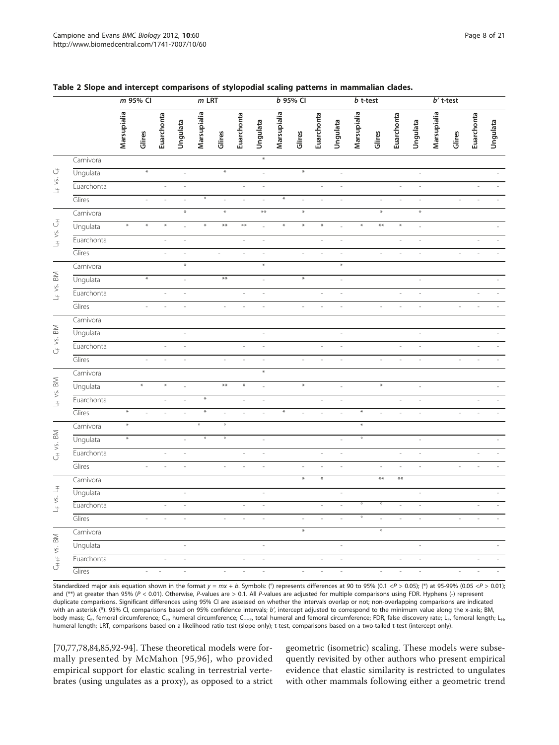|                       |            |             | m 95% CI          |                          |                          | $m$ LRT            |                          |                          |                          |                  | <b>b</b> 95% CI |                          |                          | $b$ t-test  |                          |                          |                          |             | $b$ ' t-test |                          |          |
|-----------------------|------------|-------------|-------------------|--------------------------|--------------------------|--------------------|--------------------------|--------------------------|--------------------------|------------------|-----------------|--------------------------|--------------------------|-------------|--------------------------|--------------------------|--------------------------|-------------|--------------|--------------------------|----------|
|                       |            | Marsupialia | Glires            | Euarchonta               | Ungulata                 | Marsupialia        | Glires                   | Euarchonta               | Ungulata                 | Marsupialia      | Glires          | Euarchonta               | Ungulata                 | Marsupialia | Glires                   | Euarchonta               | Ungulata                 | Marsupialia | Glires       | Euarchonta               | Ungulata |
|                       | Carnivora  |             |                   |                          |                          |                    |                          |                          | $\ast$                   |                  |                 |                          |                          |             |                          |                          |                          |             |              |                          |          |
| $\mathring{\cup}$     | Ungulata   |             | $\overline{\ast}$ |                          | $\frac{1}{2}$            |                    | $\ast$                   |                          | $\overline{\phantom{a}}$ |                  | $\ast$          |                          | $\overline{\phantom{a}}$ |             |                          |                          | $\overline{\phantom{a}}$ |             |              |                          |          |
| L <sub>F</sub> vs.    | Euarchonta |             |                   | $\overline{\phantom{a}}$ | $\overline{\phantom{a}}$ |                    |                          | L.                       | $\overline{\phantom{a}}$ |                  |                 | $\overline{\phantom{a}}$ | $\overline{\phantom{a}}$ |             |                          | $\overline{a}$           | $\overline{\phantom{a}}$ |             |              | $\overline{a}$           |          |
|                       | Glires     |             | $\overline{a}$    | $\overline{a}$           |                          | $\circ$            | $\overline{\phantom{a}}$ |                          | $\overline{a}$           | $\divideontimes$ |                 | l,                       | í,                       |             | $\overline{\phantom{a}}$ |                          | í,                       |             |              |                          |          |
|                       | Carnivora  |             |                   |                          | $*$                      |                    | $\ast$                   |                          | $**$                     |                  | $\ast$          |                          |                          |             | $\ast$                   |                          | $\ast$                   |             |              |                          |          |
| $\vec{J}$             | Ungulata   | $\ast$      | $\ast$            | $\ast$                   | $\overline{a}$           | $\ast$             | $**$                     | $**$                     | $\overline{\phantom{a}}$ | $\ast$           | $\ast$          | $\ast$                   | $\label{eq:1}$           | $\ast$      | $**$                     | $\ast$                   | $\overline{a}$           |             |              |                          |          |
| $L_H$ vs.             | Euarchonta |             |                   | $\overline{\phantom{0}}$ | $\overline{\phantom{a}}$ |                    |                          | $\frac{1}{2}$            | $\overline{\phantom{a}}$ |                  |                 | $\overline{\phantom{a}}$ | $\overline{\phantom{a}}$ |             |                          | $\overline{\phantom{a}}$ | $\overline{a}$           |             |              | $\overline{\phantom{a}}$ |          |
|                       | Glires     |             |                   |                          |                          |                    | $\overline{\phantom{0}}$ |                          |                          |                  | $\overline{a}$  | l,                       |                          |             | $\frac{1}{2}$            |                          |                          |             |              |                          |          |
|                       | Carnivora  |             |                   |                          | $\ast$                   |                    |                          |                          | $\ast$                   |                  |                 |                          | $\ast$                   |             |                          |                          |                          |             |              |                          |          |
| $L_F$ vs. BM          | Ungulata   |             | $\ast$            |                          | $\overline{\phantom{a}}$ |                    | $**$                     |                          | $\overline{\phantom{a}}$ |                  | $\ast$          |                          | $\overline{\phantom{a}}$ |             |                          |                          | $\overline{\phantom{a}}$ |             |              |                          |          |
|                       | Euarchonta |             |                   | $\overline{\phantom{a}}$ | $\overline{\phantom{a}}$ |                    |                          | $\frac{1}{2}$            | $\overline{\phantom{a}}$ |                  |                 | $\overline{\phantom{a}}$ | $\overline{\phantom{a}}$ |             |                          | $\overline{\phantom{a}}$ | $\overline{\phantom{a}}$ |             |              | $\frac{1}{2}$            |          |
|                       | Glires     |             | $\overline{a}$    | $\overline{\phantom{a}}$ | i,                       |                    | $\overline{\phantom{a}}$ | $\overline{\phantom{a}}$ | $\overline{a}$           |                  | $\bar{a}$       | $\overline{\phantom{a}}$ | i,                       |             | $\overline{\phantom{a}}$ | $\overline{a}$           | J.                       |             | L,           | $\bar{a}$                |          |
|                       | Carnivora  |             |                   |                          |                          |                    |                          |                          |                          |                  |                 |                          |                          |             |                          |                          |                          |             |              |                          |          |
|                       | Ungulata   |             |                   |                          |                          |                    |                          |                          |                          |                  |                 |                          |                          |             |                          |                          |                          |             |              |                          |          |
| C <sub>F</sub> vs. BM | Euarchonta |             |                   |                          |                          |                    |                          |                          |                          |                  |                 | Ĭ.                       | L,                       |             |                          |                          | $\overline{\phantom{a}}$ |             |              |                          |          |
|                       | Glires     |             |                   | $\overline{\phantom{a}}$ |                          |                    | $\overline{a}$           |                          |                          |                  |                 |                          |                          |             |                          |                          |                          |             |              |                          |          |
|                       | Carnivora  |             |                   |                          |                          |                    |                          |                          | $*$                      |                  |                 |                          |                          |             |                          |                          |                          |             |              |                          |          |
| $L_H$ vs. BM          | Ungulata   |             | $*$               | $\ast$                   |                          |                    | $**$                     |                          |                          |                  | $\ast$          |                          | Ĩ.                       |             | $\ast$                   |                          | J.                       |             |              |                          |          |
|                       | Euarchonta |             |                   | $\overline{a}$           |                          |                    |                          |                          |                          |                  |                 | Ĭ.                       |                          |             |                          |                          | Ĭ.                       |             |              |                          |          |
|                       | Glires     | $\ast$      |                   |                          |                          | $\ast$             | $\overline{\phantom{a}}$ |                          |                          | $\divideontimes$ |                 |                          |                          | $\ast$      |                          |                          | ÷,                       |             |              |                          |          |
|                       | Carnivora  | $\ast$      |                   |                          |                          | $\overline{\circ}$ | $\overline{\circ}$       |                          |                          |                  |                 |                          |                          | $\ast$      |                          |                          |                          |             |              |                          |          |
|                       | Ungulata   | $\ast$      |                   |                          |                          | $\circ$            | $\circ$                  |                          | $\overline{a}$           |                  |                 |                          | L,                       | $\circ$     |                          |                          | $\overline{a}$           |             |              |                          |          |
| C <sub>H</sub> vs. BM | Euarchonta |             |                   | $\overline{\phantom{a}}$ |                          |                    |                          |                          | $\overline{a}$           |                  |                 | $\overline{\phantom{a}}$ | l,                       |             |                          | $\overline{a}$           | $\overline{\phantom{a}}$ |             |              |                          |          |
|                       | Glires     |             |                   |                          |                          |                    | $\overline{a}$           |                          |                          |                  | $\overline{a}$  | $\overline{a}$           |                          |             | $\frac{1}{2}$            | $\overline{a}$           |                          |             |              |                          |          |
|                       | Carnivora  |             |                   |                          |                          |                    |                          |                          |                          |                  | $\ast$          | $\ast$                   |                          |             | $**$                     | $**$                     |                          |             |              |                          |          |
| $\exists$             | Ungulata   |             |                   |                          | $\overline{\phantom{a}}$ |                    |                          |                          | $\overline{\phantom{a}}$ |                  |                 |                          | $\overline{\phantom{a}}$ |             |                          |                          | $\overline{a}$           |             |              |                          |          |
| L <sub>F</sub> vs.    | Euarchonta |             |                   | $\overline{\phantom{a}}$ | $\overline{\phantom{a}}$ |                    |                          | $\overline{\phantom{a}}$ | $\overline{\phantom{a}}$ |                  |                 | $\overline{\phantom{a}}$ | $\overline{\phantom{a}}$ |             | $\circ$                  |                          | $\overline{a}$           |             |              | $\overline{\phantom{a}}$ |          |
|                       | Glires     |             |                   |                          |                          |                    | $\overline{\phantom{a}}$ |                          |                          |                  |                 |                          |                          |             | $\overline{a}$           |                          |                          |             |              |                          |          |
|                       | Carnivora  |             |                   |                          |                          |                    |                          |                          |                          |                  | $\ast$          |                          |                          |             | $\overline{\circ}$       |                          |                          |             |              |                          |          |
|                       | Ungulata   |             |                   |                          | $\overline{\phantom{a}}$ |                    |                          |                          | $\overline{\phantom{a}}$ |                  |                 |                          | $\overline{\phantom{a}}$ |             |                          |                          | $\overline{\phantom{a}}$ |             |              |                          |          |
| $C_{H+F}$ vs. BM      | Euarchonta |             |                   | $\overline{\phantom{0}}$ | $\overline{\phantom{a}}$ |                    |                          | $\overline{\phantom{a}}$ | $\overline{\phantom{a}}$ |                  |                 | $\overline{\phantom{0}}$ | $\overline{\phantom{a}}$ |             |                          | $\overline{a}$           | $\overline{a}$           |             |              | $\overline{\phantom{a}}$ |          |
|                       | Glires     |             |                   |                          |                          |                    |                          |                          |                          |                  |                 |                          |                          |             |                          |                          |                          |             |              |                          |          |

#### <span id="page-7-0"></span>Table 2 Slope and intercept comparisons of stylopodial scaling patterns in mammalian clades.

Standardized major axis equation shown in the format  $y = mx + b$ . Symbols: (°) represents differences at 90 to 95% (0.1 <P > 0.05); (\*) at 95-99% (0.05 <P > 0.01); and (\*\*) at greater than 95% (P < 0.01). Otherwise, P-values are > 0.1. All P-values are adjusted for multiple comparisons using FDR. Hyphens (-) represent duplicate comparisons. Significant differences using 95% CI are assessed on whether the intervals overlap or not; non-overlapping comparisons are indicated with an asterisk (\*). 95% CI, comparisons based on 95% confidence intervals; b', intercept adjusted to correspond to the minimum value along the x-axis; BM, body mass; C<sub>F</sub>, femoral circumference; C<sub>H</sub>, humeral circumference; C<sub>H+F</sub>, total humeral and femoral circumference; FDR, false discovery rate; L<sub>F</sub>, femoral length; L<sub>H</sub>, humeral length; LRT, comparisons based on a likelihood ratio test (slope only); t-test, comparisons based on a two-tailed t-test (intercept only).

[[70,77,78,84,85,92-94\]](#page-19-0). These theoretical models were formally presented by McMahon [[95](#page-19-0),[96\]](#page-19-0), who provided empirical support for elastic scaling in terrestrial vertebrates (using ungulates as a proxy), as opposed to a strict geometric (isometric) scaling. These models were subsequently revisited by other authors who present empirical evidence that elastic similarity is restricted to ungulates with other mammals following either a geometric trend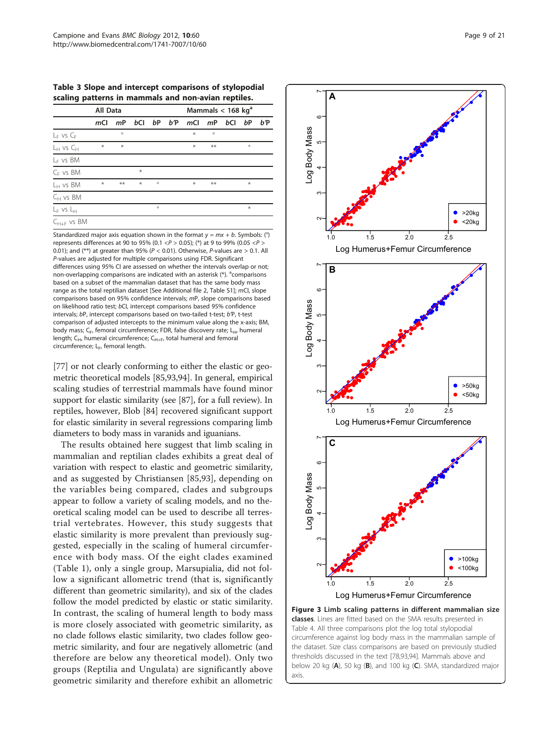<span id="page-8-0"></span>Table 3 Slope and intercept comparisons of stylopodial scaling patterns in mammals and non-avian reptiles.

| - -             |                 |         |     |         |                                 |        |         |     |         |                |  |  |
|-----------------|-----------------|---------|-----|---------|---------------------------------|--------|---------|-----|---------|----------------|--|--|
|                 | <b>All Data</b> |         |     |         | Mammals $<$ 168 kg <sup>a</sup> |        |         |     |         |                |  |  |
|                 | mCl             | mP      | bCl | bP      | b'P                             | mCl    | mP      | bCl | bP      | b <sup>T</sup> |  |  |
| $L_F$ vs $C_F$  |                 | $\circ$ |     |         |                                 | $\ast$ | $\circ$ |     |         |                |  |  |
| $L_H$ vs $C_H$  | $\ast$          | $*$     |     |         |                                 | ⋇      | **      |     | $\circ$ |                |  |  |
| $L_F$ vs $BM$   |                 |         |     |         |                                 |        |         |     |         |                |  |  |
| $C_F$ vs $BM$   |                 |         | $*$ |         |                                 |        |         |     |         |                |  |  |
| $L_H$ vs $BM$   | $\ast$          | **      | $*$ | $\circ$ |                                 | ⋇      | **      |     | *       |                |  |  |
| $C_H$ vs $BM$   |                 |         |     |         |                                 |        |         |     |         |                |  |  |
| $L_F$ vs $L_H$  |                 |         |     | $\circ$ |                                 |        |         |     | *       |                |  |  |
| $C_{H+F}$ vs BM |                 |         |     |         |                                 |        |         |     |         |                |  |  |

Standardized major axis equation shown in the format  $y = mx + b$ . Symbols: (°) represents differences at 90 to 95% (0.1 <P > 0.05); (\*) at 9 to 99% (0.05 <P > 0.01); and (\*\*) at greater than 95% ( $P < 0.01$ ). Otherwise, P-values are  $> 0.1$ . All P-values are adjusted for multiple comparisons using FDR. Significant differences using 95% CI are assessed on whether the intervals overlap or not; non-overlapping comparisons are indicated with an asterisk (\*). <sup>a</sup>comparisons based on a subset of the mammalian dataset that has the same body mass range as the total reptilian dataset [See Additional file [2](#page-17-0), Table S1]; mCI, slope comparisons based on 95% confidence intervals; mP, slope comparisons based on likelihood ratio test; bCI, intercept comparisons based 95% confidence intervals; bP, intercept comparisons based on two-tailed t-test; b'P, t-test comparison of adjusted intercepts to the minimum value along the x-axis; BM, body mass;  $C_{F}$ , femoral circumference; FDR, false discovery rate;  $L_{H}$ , humeral length;  $C_{H}$ , humeral circumference;  $C_{H+F}$ , total humeral and femoral circumference; L<sub>E</sub>, femoral length.

[[77](#page-19-0)] or not clearly conforming to either the elastic or geometric theoretical models [\[85,93,94](#page-19-0)]. In general, empirical scaling studies of terrestrial mammals have found minor support for elastic similarity (see [\[87\]](#page-19-0), for a full review). In reptiles, however, Blob [[84](#page-19-0)] recovered significant support for elastic similarity in several regressions comparing limb diameters to body mass in varanids and iguanians.

The results obtained here suggest that limb scaling in mammalian and reptilian clades exhibits a great deal of variation with respect to elastic and geometric similarity, and as suggested by Christiansen [\[85](#page-19-0),[93\]](#page-19-0), depending on the variables being compared, clades and subgroups appear to follow a variety of scaling models, and no theoretical scaling model can be used to describe all terrestrial vertebrates. However, this study suggests that elastic similarity is more prevalent than previously suggested, especially in the scaling of humeral circumference with body mass. Of the eight clades examined (Table [1\)](#page-5-0), only a single group, Marsupialia, did not follow a significant allometric trend (that is, significantly different than geometric similarity), and six of the clades follow the model predicted by elastic or static similarity. In contrast, the scaling of humeral length to body mass is more closely associated with geometric similarity, as no clade follows elastic similarity, two clades follow geometric similarity, and four are negatively allometric (and therefore are below any theoretical model). Only two groups (Reptilia and Ungulata) are significantly above geometric similarity and therefore exhibit an allometric



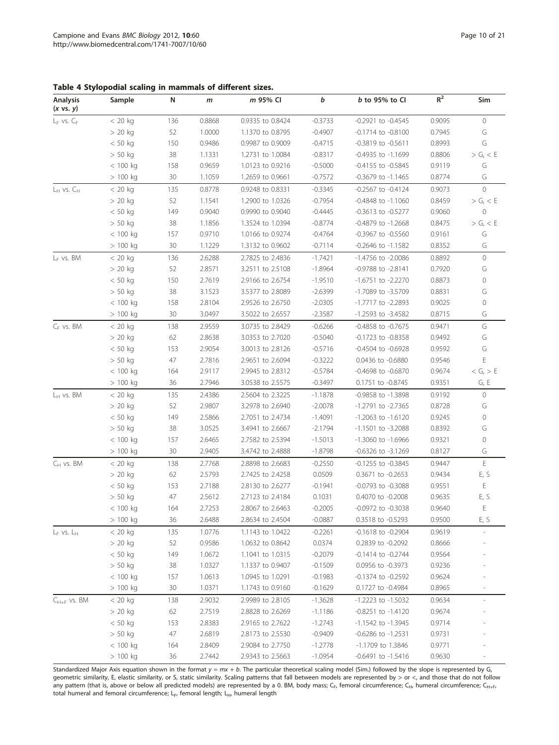<span id="page-9-0"></span>

|  |  |  |  | Table 4 Stylopodial scaling in mammals of different sizes. |
|--|--|--|--|------------------------------------------------------------|
|--|--|--|--|------------------------------------------------------------|

| <b>Analysis</b><br>$(x \text{ vs. } y)$ | Sample     | N   | m      | m 95% CI         | b         | $b$ to 95% to Cl       | $R^2$  | Sim                      |
|-----------------------------------------|------------|-----|--------|------------------|-----------|------------------------|--------|--------------------------|
| $L_F$ vs. $C_F$                         | $< 20$ kg  | 136 | 0.8868 | 0.9335 to 0.8424 | $-0.3733$ | $-0.2921$ to $-0.4545$ | 0.9095 | 0                        |
|                                         | $> 20$ kg  | 52  | 1.0000 | 1.1370 to 0.8795 | $-0.4907$ | -0.1714 to -0.8100     | 0.7945 | G                        |
|                                         | $< 50$ kg  | 150 | 0.9486 | 0.9987 to 0.9009 | $-0.4715$ | $-0.3819$ to $-0.5611$ | 0.8993 | G                        |
|                                         | $> 50$ kg  | 38  | 1.1331 | 1.2731 to 1.0084 | $-0.8317$ | -0.4935 to -1.1699     | 0.8806 | $> G$ , $< E$            |
|                                         | $< 100$ kg | 158 | 0.9659 | 1.0123 to 0.9216 | $-0.5000$ | -0.4155 to -0.5845     | 0.9119 | G                        |
|                                         | $> 100$ kg | 30  | 1.1059 | 1.2659 to 0.9661 | $-0.7572$ | -0.3679 to -1.1465     | 0.8774 | G                        |
| $L_H$ vs. $C_H$                         | $< 20$ kg  | 135 | 0.8778 | 0.9248 to 0.8331 | $-0.3345$ | -0.2567 to -0.4124     | 0.9073 | $\circ$                  |
|                                         | $> 20$ kg  | 52  | 1.1541 | 1.2900 to 1.0326 | $-0.7954$ | -0.4848 to -1.1060     | 0.8459 | > G, < E                 |
|                                         | $< 50$ kg  | 149 | 0.9040 | 0.9990 to 0.9040 | $-0.4445$ | -0.3613 to -0.5277     | 0.9060 | 0                        |
|                                         | > 50 kg    | 38  | 1.1856 | 1.3524 to 1.0394 | $-0.8774$ | -0.4879 to -1.2668     | 0.8475 | > G, < E                 |
|                                         | $< 100$ kg | 157 | 0.9710 | 1.0166 to 0.9274 | $-0.4764$ | -0.3967 to -0.5560     | 0.9161 | G                        |
|                                         | $> 100$ kg | 30  | 1.1229 | 1.3132 to 0.9602 | $-0.7114$ | $-0.2646$ to $-1.1582$ | 0.8352 | G                        |
| $L_F$ vs. BM                            | $< 20$ kg  | 136 | 2.6288 | 2.7825 to 2.4836 | $-1.7421$ | -1.4756 to -2.0086     | 0.8892 | $\circ$                  |
|                                         | $> 20$ kg  | 52  | 2.8571 | 3.2511 to 2.5108 | $-1.8964$ | -0.9788 to -2.8141     | 0.7920 | G                        |
|                                         | $< 50$ kg  | 150 | 2.7619 | 2.9166 to 2.6754 | $-1.9510$ | -1.6751 to -2.2270     | 0.8873 | 0                        |
|                                         | $> 50$ kg  | 38  | 3.1523 | 3.5377 to 2.8089 | $-2.6399$ | -1.7089 to -3.5709     | 0.8831 | G                        |
|                                         | $< 100$ kg | 158 | 2.8104 | 2.9526 to 2.6750 | $-2.0305$ | -1.7717 to -2.2893     | 0.9025 | 0                        |
|                                         | $> 100$ kg | 30  | 3.0497 | 3.5022 to 2.6557 | -2.3587   | $-1.2593$ to $-3.4582$ | 0.8715 | G                        |
| $C_F$ vs. BM                            | $< 20$ kg  | 138 | 2.9559 | 3.0735 to 2.8429 | $-0.6266$ | -0.4858 to -0.7675     | 0.9471 | G                        |
|                                         | $> 20$ kg  | 62  | 2.8638 | 3.0353 to 2.7020 | $-0.5040$ | -0.1723 to -0.8358     | 0.9492 | G                        |
|                                         | $< 50$ kg  | 153 | 2.9054 | 3.0013 to 2.8126 | $-0.5716$ | -0.4504 to -0.6928     | 0.9592 | G                        |
|                                         | $> 50$ kg  | 47  | 2.7816 | 2.9651 to 2.6094 | $-0.3222$ | 0.0436 to -0.6880      | 0.9546 | E                        |
|                                         | $< 100$ kg | 164 | 2.9117 | 2.9945 to 2.8312 | $-0.5784$ | -0.4698 to -0.6870     | 0.9674 | $<$ G, $> E$             |
|                                         | $> 100$ kg | 36  | 2.7946 | 3.0538 to 2.5575 | -0.3497   | 0.1751 to -0.8745      | 0.9351 | G, E                     |
| $L_H$ vs. BM                            | $< 20$ kg  | 135 | 2.4386 | 2.5604 to 2.3225 | $-1.1878$ | -0.9858 to -1.3898     | 0.9192 | $\circ$                  |
|                                         | $> 20$ kg  | 52  | 2.9807 | 3.2978 to 2.6940 | $-2.0078$ | -1.2791 to -2.7365     | 0.8728 | G                        |
|                                         | $< 50$ kg  | 149 | 2.5866 | 2.7051 to 2.4734 | $-1.4091$ | $-1.2063$ to $-1.6120$ | 0.9245 | 0                        |
|                                         | $> 50$ kg  | 38  | 3.0525 | 3.4941 to 2.6667 | $-2.1794$ | $-1.1501$ to $-3.2088$ | 0.8392 | G                        |
|                                         | $< 100$ kg | 157 | 2.6465 | 2.7582 to 2.5394 | -1.5013   | $-1.3060$ to $-1.6966$ | 0.9321 | 0                        |
|                                         | $> 100$ kg | 30  | 2.9405 | 3.4742 to 2.4888 | $-1.8798$ | -0.6326 to -3.1269     | 0.8127 | G                        |
| $C_H$ vs. BM                            | $< 20$ kg  | 138 | 2.7768 | 2.8898 to 2.6683 | $-0.2550$ | -0.1255 to -0.3845     | 0.9447 | E                        |
|                                         | $> 20$ kg  | 62  | 2.5793 | 2.7425 to 2.4258 | 0.0509    | 0.3671 to -0.2653      | 0.9434 | E, S                     |
|                                         | $< 50$ kg  | 153 | 2.7188 | 2.8130 to 2.6277 | $-0.1941$ | -0.0793 to -0.3088     | 0.9551 | Ε                        |
|                                         | $> 50$ kg  | 47  | 2.5612 | 2.7123 to 2.4184 | 0.1031    | 0.4070 to -0.2008      | 0.9635 | E, S                     |
|                                         | < 100 kg   | 164 | 2.7253 | 2.8067 to 2.6463 | $-0.2005$ | -0.0972 to -0.3038     | 0.9640 | E                        |
|                                         | $> 100$ kg | 36  | 2.6488 | 2.8634 to 2.4504 | $-0.0887$ | 0.3518 to -0.5293      | 0.9500 | E, S                     |
| $L_F$ vs. $L_H$                         | $< 20$ kg  | 135 | 1.0776 | 1.1143 to 1.0422 | $-0.2261$ | -0.1618 to -0.2904     | 0.9619 |                          |
|                                         | $> 20$ kg  | 52  | 0.9586 | 1.0632 to 0.8642 | 0.0374    | 0.2839 to -0.2092      | 0.8666 |                          |
|                                         | $< 50$ kg  | 149 | 1.0672 | 1.1041 to 1.0315 | $-0.2079$ | -0.1414 to -0.2744     | 0.9564 |                          |
|                                         | $> 50$ kg  | 38  | 1.0327 | 1.1337 to 0.9407 | $-0.1509$ | 0.0956 to -0.3973      | 0.9236 |                          |
|                                         | < 100 kg   | 157 | 1.0613 | 1.0945 to 1.0291 | -0.1983   | -0.1374 to -0.2592     | 0.9624 |                          |
|                                         | $>100$ kg  | 30  | 1.0371 | 1.1743 to 0.9160 | $-0.1629$ | 0.1727 to -0.4984      | 0.8965 |                          |
| $C_{H+F}$ vs. BM                        | $< 20$ kg  | 138 | 2.9032 | 2.9989 to 2.8105 | $-1.3628$ | $-1.2223$ to $-1.5032$ | 0.9634 | $\overline{\phantom{a}}$ |
|                                         | $> 20$ kg  | 62  | 2.7519 | 2.8828 to 2.6269 | -1.1186   | -0.8251 to -1.4120     | 0.9674 |                          |
|                                         | $< 50$ kg  | 153 | 2.8383 | 2.9165 to 2.7622 | $-1.2743$ | $-1.1542$ to $-1.3945$ | 0.9714 |                          |
|                                         | $> 50$ kg  | 47  | 2.6819 | 2.8173 to 2.5530 | -0.9409   | $-0.6286$ to $-1.2531$ | 0.9731 |                          |
|                                         | $< 100$ kg | 164 | 2.8409 | 2.9084 to 2.7750 | -1.2778   | -1.1709 to 1.3846      | 0.9771 |                          |
|                                         | > 100 kg   | 36  | 2.7442 | 2.9343 to 2.5663 | -1.0954   | $-0.6491$ to $-1.5416$ | 0.9630 |                          |
|                                         |            |     |        |                  |           |                        |        |                          |

Standardized Major Axis equation shown in the format  $y = mx + b$ . The particular theoretical scaling model (Sim.) followed by the slope is represented by G, geometric similarity, E, elastic similarity, or S, static similarity. Scaling patterns that fall between models are represented by > or <, and those that do not follow any pattern (that is, above or below all predicted models) are represented by a 0. BM, body mass;  $C_{F}$ , femoral circumference;  $C_{H}$ , humeral circumference;  $C_{H+F}$ , total humeral and femoral circumference;  $L_F$ , femoral length;  $L_{H}$ , humeral length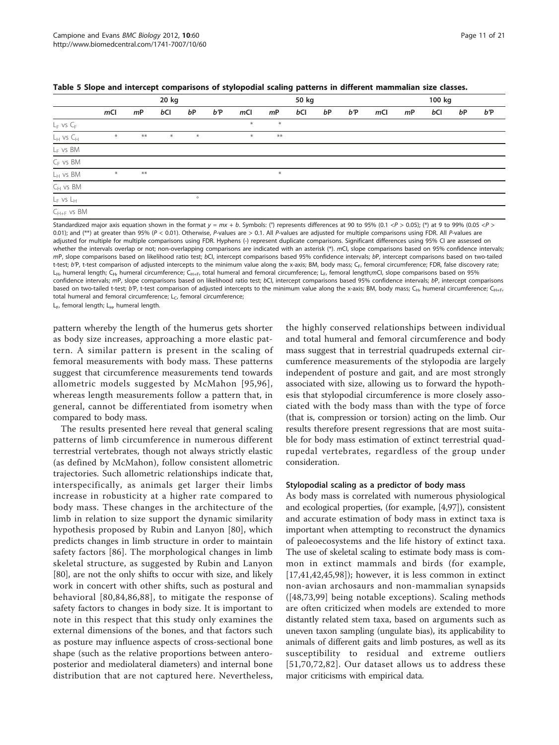<span id="page-10-0"></span>

| Table 5 Slope and intercept comparisons of stylopodial scaling patterns in different mammalian size classes. |  |  |  |
|--------------------------------------------------------------------------------------------------------------|--|--|--|
|--------------------------------------------------------------------------------------------------------------|--|--|--|

|                        |        |       | 20 kg  |         |    |                  | 50 kg            |     |    |    |                 | 100 kg |     |    |    |
|------------------------|--------|-------|--------|---------|----|------------------|------------------|-----|----|----|-----------------|--------|-----|----|----|
|                        | mCl    | mP    | bCl    | bP      | bР | mCl              | mP               | bCl | bP | bР | m <sub>Cl</sub> | mP     | bCl | bP | bΈ |
| $L_F$ vs $C_F$         |        |       |        |         |    | $\divideontimes$ | $\divideontimes$ |     |    |    |                 |        |     |    |    |
| $L_H$ vs $C_H$         | $\ast$ | $***$ | $\ast$ | $\star$ |    | $\ast$           | $***$            |     |    |    |                 |        |     |    |    |
| $L_F$ vs BM            |        |       |        |         |    |                  |                  |     |    |    |                 |        |     |    |    |
| $C_F$ vs BM            |        |       |        |         |    |                  |                  |     |    |    |                 |        |     |    |    |
| $L_{\rm H}$ vs BM      | $\ast$ | $***$ |        |         |    |                  | $\ast$           |     |    |    |                 |        |     |    |    |
| $C_{\mathsf{H}}$ vs BM |        |       |        |         |    |                  |                  |     |    |    |                 |        |     |    |    |
| $L_F$ vs $L_H$         |        |       |        | $\circ$ |    |                  |                  |     |    |    |                 |        |     |    |    |
| $C_{H+F}$ vs BM        |        |       |        |         |    |                  |                  |     |    |    |                 |        |     |    |    |

Standardized major axis equation shown in the format  $y = mx + b$ . Symbols: (°) represents differences at 90 to 95% (0.1 <P > 0.05); (\*) at 9 to 99% (0.05 <P > 0.01); and (\*\*) at greater than 95% (P < 0.01). Otherwise, P-values are > 0.1. All P-values are adjusted for multiple comparisons using FDR. All P-values are adjusted for multiple for multiple comparisons using FDR. Hyphens (-) represent duplicate comparisons. Significant differences using 95% CI are assessed on whether the intervals overlap or not; non-overlapping comparisons are indicated with an asterisk (\*). mCl, slope comparisons based on 95% confidence intervals; mP, slope comparisons based on likelihood ratio test; bCI, intercept comparisons based 95% confidence intervals; bP, intercept comparisons based on two-tailed t-test; b'P, t-test comparison of adjusted intercepts to the minimum value along the x-axis; BM, body mass; CF, femoral circumference; FDR, false discovery rate;  $L_{H}$ , humeral length; C<sub>H</sub>, humeral circumference; C<sub>H+F</sub>, total humeral and femoral circumference; L<sub>F</sub>, femoral length;mCl, slope comparisons based on 95% confidence intervals; mP, slope comparisons based on likelihood ratio test; bCl, intercept comparisons based 95% confidence intervals; bP, intercept comparisons based on two-tailed t-test; b'P, t-test comparison of adjusted intercepts to the minimum value along the x-axis; BM, body mass; C<sub>H</sub>, humeral circumference; C<sub>H+F</sub>, total humeral and femoral circumference;  $L<sub>C</sub>$ , femoral circumference;

 $L_{F}$ , femoral length;  $L_{H}$ , humeral length.

pattern whereby the length of the humerus gets shorter as body size increases, approaching a more elastic pattern. A similar pattern is present in the scaling of femoral measurements with body mass. These patterns suggest that circumference measurements tend towards allometric models suggested by McMahon [[95](#page-19-0),[96\]](#page-19-0), whereas length measurements follow a pattern that, in general, cannot be differentiated from isometry when compared to body mass.

The results presented here reveal that general scaling patterns of limb circumference in numerous different terrestrial vertebrates, though not always strictly elastic (as defined by McMahon), follow consistent allometric trajectories. Such allometric relationships indicate that, interspecifically, as animals get larger their limbs increase in robusticity at a higher rate compared to body mass. These changes in the architecture of the limb in relation to size support the dynamic similarity hypothesis proposed by Rubin and Lanyon [\[80](#page-19-0)], which predicts changes in limb structure in order to maintain safety factors [\[86](#page-19-0)]. The morphological changes in limb skeletal structure, as suggested by Rubin and Lanyon [[80\]](#page-19-0), are not the only shifts to occur with size, and likely work in concert with other shifts, such as postural and behavioral [[80](#page-19-0),[84](#page-19-0),[86,88\]](#page-19-0), to mitigate the response of safety factors to changes in body size. It is important to note in this respect that this study only examines the external dimensions of the bones, and that factors such as posture may influence aspects of cross-sectional bone shape (such as the relative proportions between anteroposterior and mediolateral diameters) and internal bone distribution that are not captured here. Nevertheless,

the highly conserved relationships between individual and total humeral and femoral circumference and body mass suggest that in terrestrial quadrupeds external circumference measurements of the stylopodia are largely independent of posture and gait, and are most strongly associated with size, allowing us to forward the hypothesis that stylopodial circumference is more closely associated with the body mass than with the type of force (that is, compression or torsion) acting on the limb. Our results therefore present regressions that are most suitable for body mass estimation of extinct terrestrial quadrupedal vertebrates, regardless of the group under consideration.

## Stylopodial scaling as a predictor of body mass

As body mass is correlated with numerous physiological and ecological properties, (for example, [\[4](#page-17-0)[,97\]](#page-19-0)), consistent and accurate estimation of body mass in extinct taxa is important when attempting to reconstruct the dynamics of paleoecosystems and the life history of extinct taxa. The use of skeletal scaling to estimate body mass is common in extinct mammals and birds (for example, [[17,41](#page-18-0),[42,45,](#page-18-0)[98](#page-19-0)]); however, it is less common in extinct non-avian archosaurs and non-mammalian synapsids ([\[48,](#page-18-0)[73,99](#page-19-0)] being notable exceptions). Scaling methods are often criticized when models are extended to more distantly related stem taxa, based on arguments such as uneven taxon sampling (ungulate bias), its applicability to animals of different gaits and limb postures, as well as its susceptibility to residual and extreme outliers [[51,](#page-18-0)[70,72,82](#page-19-0)]. Our dataset allows us to address these major criticisms with empirical data.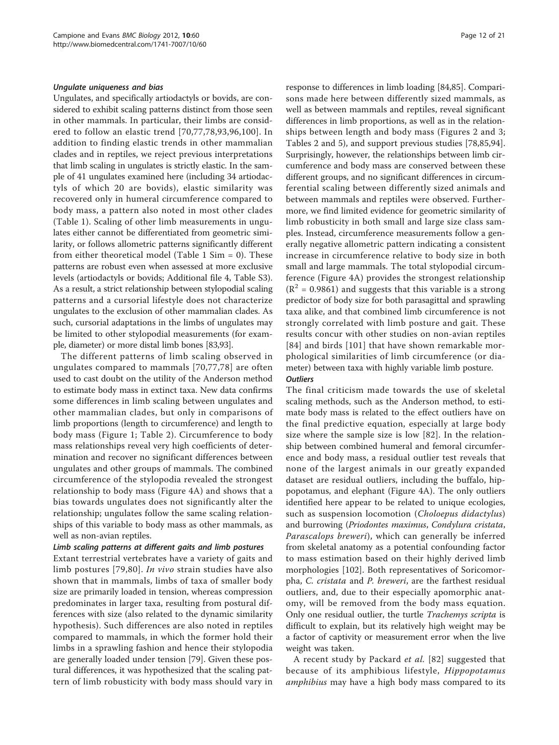#### Ungulate uniqueness and bias

Ungulates, and specifically artiodactyls or bovids, are considered to exhibit scaling patterns distinct from those seen in other mammals. In particular, their limbs are considered to follow an elastic trend [[70,77,78](#page-19-0),[93,96,100\]](#page-19-0). In addition to finding elastic trends in other mammalian clades and in reptiles, we reject previous interpretations that limb scaling in ungulates is strictly elastic. In the sample of 41 ungulates examined here (including 34 artiodactyls of which 20 are bovids), elastic similarity was recovered only in humeral circumference compared to body mass, a pattern also noted in most other clades (Table [1\)](#page-5-0). Scaling of other limb measurements in ungulates either cannot be differentiated from geometric similarity, or follows allometric patterns significantly different from either theoretical model (Table [1](#page-5-0) Sim  $= 0$ ). These patterns are robust even when assessed at more exclusive levels (artiodactyls or bovids; Additional file [4](#page-17-0), Table S3). As a result, a strict relationship between stylopodial scaling patterns and a cursorial lifestyle does not characterize ungulates to the exclusion of other mammalian clades. As such, cursorial adaptations in the limbs of ungulates may be limited to other stylopodial measurements (for example, diameter) or more distal limb bones [\[83,93](#page-19-0)].

The different patterns of limb scaling observed in ungulates compared to mammals [[70](#page-19-0),[77](#page-19-0),[78](#page-19-0)] are often used to cast doubt on the utility of the Anderson method to estimate body mass in extinct taxa. New data confirms some differences in limb scaling between ungulates and other mammalian clades, but only in comparisons of limb proportions (length to circumference) and length to body mass (Figure [1](#page-3-0); Table [2](#page-7-0)). Circumference to body mass relationships reveal very high coefficients of determination and recover no significant differences between ungulates and other groups of mammals. The combined circumference of the stylopodia revealed the strongest relationship to body mass (Figure [4A](#page-12-0)) and shows that a bias towards ungulates does not significantly alter the relationship; ungulates follow the same scaling relationships of this variable to body mass as other mammals, as well as non-avian reptiles.

#### Limb scaling patterns at different gaits and limb postures

Extant terrestrial vertebrates have a variety of gaits and limb postures [[79,80\]](#page-19-0). In vivo strain studies have also shown that in mammals, limbs of taxa of smaller body size are primarily loaded in tension, whereas compression predominates in larger taxa, resulting from postural differences with size (also related to the dynamic similarity hypothesis). Such differences are also noted in reptiles compared to mammals, in which the former hold their limbs in a sprawling fashion and hence their stylopodia are generally loaded under tension [[79\]](#page-19-0). Given these postural differences, it was hypothesized that the scaling pattern of limb robusticity with body mass should vary in response to differences in limb loading [\[84,85](#page-19-0)]. Comparisons made here between differently sized mammals, as well as between mammals and reptiles, reveal significant differences in limb proportions, as well as in the relationships between length and body mass (Figures [2](#page-4-0) and [3](#page-8-0); Tables [2](#page-7-0) and [5](#page-10-0)), and support previous studies [[78,85,94](#page-19-0)]. Surprisingly, however, the relationships between limb circumference and body mass are conserved between these different groups, and no significant differences in circumferential scaling between differently sized animals and between mammals and reptiles were observed. Furthermore, we find limited evidence for geometric similarity of limb robusticity in both small and large size class samples. Instead, circumference measurements follow a generally negative allometric pattern indicating a consistent increase in circumference relative to body size in both small and large mammals. The total stylopodial circumference (Figure [4A](#page-12-0)) provides the strongest relationship  $(R^2 = 0.9861)$  and suggests that this variable is a strong predictor of body size for both parasagittal and sprawling taxa alike, and that combined limb circumference is not strongly correlated with limb posture and gait. These results concur with other studies on non-avian reptiles [[84](#page-19-0)] and birds [\[101\]](#page-19-0) that have shown remarkable morphological similarities of limb circumference (or diameter) between taxa with highly variable limb posture.

## **Outliers**

The final criticism made towards the use of skeletal scaling methods, such as the Anderson method, to estimate body mass is related to the effect outliers have on the final predictive equation, especially at large body size where the sample size is low [[82\]](#page-19-0). In the relationship between combined humeral and femoral circumference and body mass, a residual outlier test reveals that none of the largest animals in our greatly expanded dataset are residual outliers, including the buffalo, hippopotamus, and elephant (Figure [4A](#page-12-0)). The only outliers identified here appear to be related to unique ecologies, such as suspension locomotion (Choloepus didactylus) and burrowing (Priodontes maximus, Condylura cristata, Parascalops breweri), which can generally be inferred from skeletal anatomy as a potential confounding factor to mass estimation based on their highly derived limb morphologies [[102\]](#page-19-0). Both representatives of Soricomorpha, C. cristata and P. breweri, are the farthest residual outliers, and, due to their especially apomorphic anatomy, will be removed from the body mass equation. Only one residual outlier, the turtle Trachemys scripta is difficult to explain, but its relatively high weight may be a factor of captivity or measurement error when the live weight was taken.

A recent study by Packard et al. [[82](#page-19-0)] suggested that because of its amphibious lifestyle, Hippopotamus amphibius may have a high body mass compared to its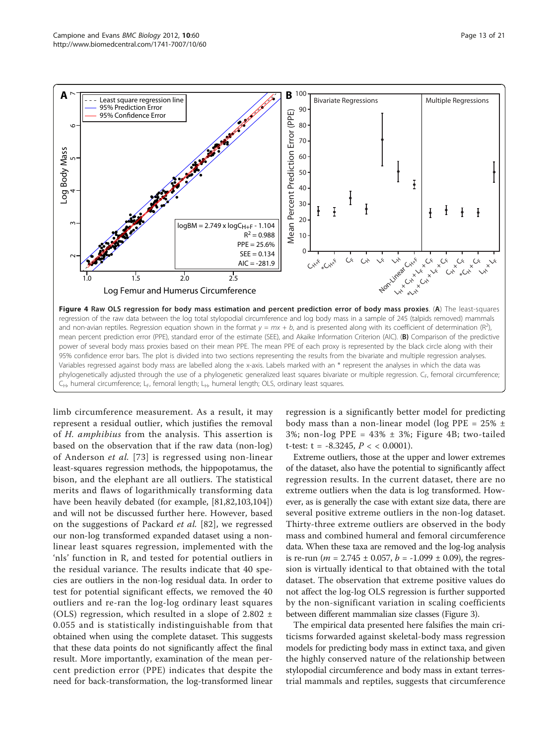<span id="page-12-0"></span>

limb circumference measurement. As a result, it may represent a residual outlier, which justifies the removal of H. amphibius from the analysis. This assertion is based on the observation that if the raw data (non-log) of Anderson et al. [[73\]](#page-19-0) is regressed using non-linear least-squares regression methods, the hippopotamus, the bison, and the elephant are all outliers. The statistical merits and flaws of logarithmically transforming data have been heavily debated (for example, [[81](#page-19-0),[82](#page-19-0),[103,104](#page-19-0)]) and will not be discussed further here. However, based on the suggestions of Packard et al. [[82](#page-19-0)], we regressed our non-log transformed expanded dataset using a nonlinear least squares regression, implemented with the 'nls' function in R, and tested for potential outliers in the residual variance. The results indicate that 40 species are outliers in the non-log residual data. In order to test for potential significant effects, we removed the 40 outliers and re-ran the log-log ordinary least squares (OLS) regression, which resulted in a slope of 2.802  $\pm$ 0.055 and is statistically indistinguishable from that obtained when using the complete dataset. This suggests that these data points do not significantly affect the final result. More importantly, examination of the mean percent prediction error (PPE) indicates that despite the need for back-transformation, the log-transformed linear

regression is a significantly better model for predicting body mass than a non-linear model (log PPE =  $25\%$  ± 3%; non-log PPE =  $43\% \pm 3\%$ ; Figure 4B; two-tailed t-test:  $t = -8.3245$ ,  $P < 0.0001$ ).

Extreme outliers, those at the upper and lower extremes of the dataset, also have the potential to significantly affect regression results. In the current dataset, there are no extreme outliers when the data is log transformed. However, as is generally the case with extant size data, there are several positive extreme outliers in the non-log dataset. Thirty-three extreme outliers are observed in the body mass and combined humeral and femoral circumference data. When these taxa are removed and the log-log analysis is re-run ( $m = 2.745 \pm 0.057$ ,  $b = -1.099 \pm 0.09$ ), the regression is virtually identical to that obtained with the total dataset. The observation that extreme positive values do not affect the log-log OLS regression is further supported by the non-significant variation in scaling coefficients between different mammalian size classes (Figure [3](#page-8-0)).

The empirical data presented here falsifies the main criticisms forwarded against skeletal-body mass regression models for predicting body mass in extinct taxa, and given the highly conserved nature of the relationship between stylopodial circumference and body mass in extant terrestrial mammals and reptiles, suggests that circumference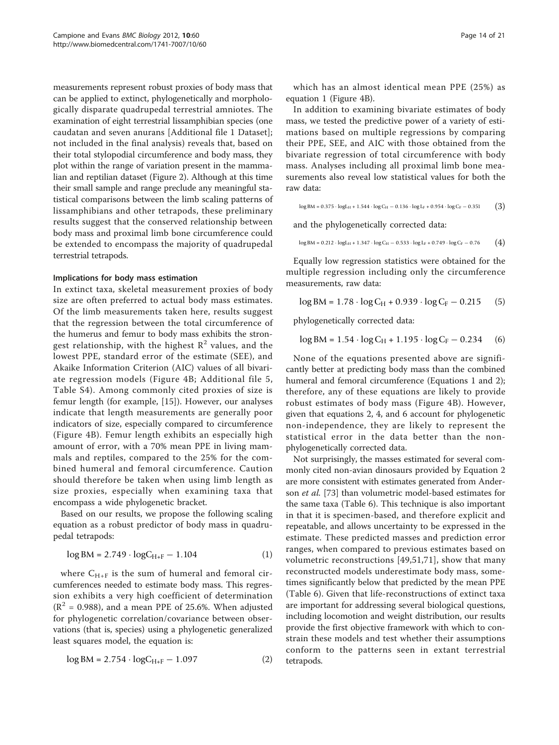measurements represent robust proxies of body mass that can be applied to extinct, phylogenetically and morphologically disparate quadrupedal terrestrial amniotes. The examination of eight terrestrial lissamphibian species (one caudatan and seven anurans [Additional file [1](#page-17-0) Dataset]; not included in the final analysis) reveals that, based on their total stylopodial circumference and body mass, they plot within the range of variation present in the mammalian and reptilian dataset (Figure [2\)](#page-4-0). Although at this time their small sample and range preclude any meaningful statistical comparisons between the limb scaling patterns of lissamphibians and other tetrapods, these preliminary results suggest that the conserved relationship between body mass and proximal limb bone circumference could be extended to encompass the majority of quadrupedal terrestrial tetrapods.

#### Implications for body mass estimation

In extinct taxa, skeletal measurement proxies of body size are often preferred to actual body mass estimates. Of the limb measurements taken here, results suggest that the regression between the total circumference of the humerus and femur to body mass exhibits the strongest relationship, with the highest  $\mathbb{R}^2$  values, and the lowest PPE, standard error of the estimate (SEE), and Akaike Information Criterion (AIC) values of all bivariate regression models (Figure [4B](#page-12-0); Additional file [5](#page-17-0), Table S4). Among commonly cited proxies of size is femur length (for example, [\[15](#page-18-0)]). However, our analyses indicate that length measurements are generally poor indicators of size, especially compared to circumference (Figure [4B\)](#page-12-0). Femur length exhibits an especially high amount of error, with a 70% mean PPE in living mammals and reptiles, compared to the 25% for the combined humeral and femoral circumference. Caution should therefore be taken when using limb length as size proxies, especially when examining taxa that encompass a wide phylogenetic bracket.

Based on our results, we propose the following scaling equation as a robust predictor of body mass in quadrupedal tetrapods:

$$
\log BM = 2.749 \cdot \log C_{H+F} - 1.104 \tag{1}
$$

where  $C_{H+F}$  is the sum of humeral and femoral circumferences needed to estimate body mass. This regression exhibits a very high coefficient of determination  $(R^2 = 0.988)$ , and a mean PPE of 25.6%. When adjusted for phylogenetic correlation/covariance between observations (that is, species) using a phylogenetic generalized least squares model, the equation is:

$$
\log BM = 2.754 \cdot \log C_{H+F} - 1.097
$$
 (2)

which has an almost identical mean PPE (25%) as equation 1 (Figure [4B](#page-12-0)).

In addition to examining bivariate estimates of body mass, we tested the predictive power of a variety of estimations based on multiple regressions by comparing their PPE, SEE, and AIC with those obtained from the bivariate regression of total circumference with body mass. Analyses including all proximal limb bone measurements also reveal low statistical values for both the raw data:

$$
log BM = 0.375 \cdot log L_H + 1.544 \cdot log C_H - 0.136 \cdot log L_F + 0.954 \cdot log C_F - 0.351
$$
 (3)

and the phylogenetically corrected data:

 $log BM = 0.212 \cdot log L_{H} + 1.347 \cdot log C_{H} - 0.533 \cdot log L_{F} + 0.749 \cdot log C_{F} - 0.76$  (4)

Equally low regression statistics were obtained for the multiple regression including only the circumference measurements, raw data:

$$
\log BM = 1.78 \cdot \log C_H + 0.939 \cdot \log C_F - 0.215
$$
 (5)

phylogenetically corrected data:

$$
\log BM = 1.54 \cdot \log C_H + 1.195 \cdot \log C_F - 0.234 \quad (6)
$$

None of the equations presented above are significantly better at predicting body mass than the combined humeral and femoral circumference (Equations 1 and 2); therefore, any of these equations are likely to provide robust estimates of body mass (Figure [4B](#page-12-0)). However, given that equations 2, 4, and 6 account for phylogenetic non-independence, they are likely to represent the statistical error in the data better than the nonphylogenetically corrected data.

Not surprisingly, the masses estimated for several commonly cited non-avian dinosaurs provided by Equation 2 are more consistent with estimates generated from Anderson et al. [\[73\]](#page-19-0) than volumetric model-based estimates for the same taxa (Table [6\)](#page-14-0). This technique is also important in that it is specimen-based, and therefore explicit and repeatable, and allows uncertainty to be expressed in the estimate. These predicted masses and prediction error ranges, when compared to previous estimates based on volumetric reconstructions [[49,51](#page-18-0),[71\]](#page-19-0), show that many reconstructed models underestimate body mass, sometimes significantly below that predicted by the mean PPE (Table [6](#page-14-0)). Given that life-reconstructions of extinct taxa are important for addressing several biological questions, including locomotion and weight distribution, our results provide the first objective framework with which to constrain these models and test whether their assumptions conform to the patterns seen in extant terrestrial tetrapods.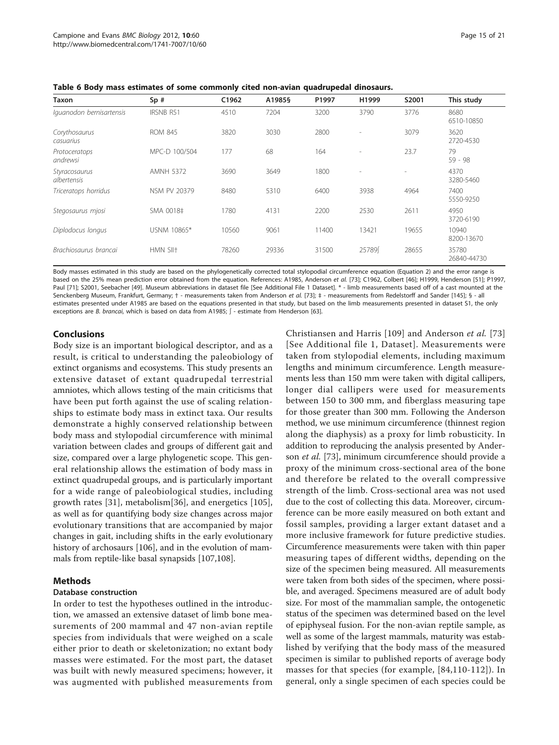<span id="page-14-0"></span>Table 6 Body mass estimates of some commonly cited non-avian quadrupedal dinosaurs.

| Taxon                        | Sp#                  | C1962 | A1985§ | P1997 | H1999                    | S2001                    | This study           |
|------------------------------|----------------------|-------|--------|-------|--------------------------|--------------------------|----------------------|
| Iguanodon bernisartensis     | <b>IRSNB R51</b>     | 4510  | 7204   | 3200  | 3790                     | 3776                     | 8680<br>6510-10850   |
| Corythosaurus<br>casuarius   | <b>ROM 845</b>       | 3820  | 3030   | 2800  | $\overline{a}$           | 3079                     | 3620<br>2720-4530    |
| Protoceratops<br>andrewsi    | MPC-D 100/504        | 177   | 68     | 164   | $\overline{a}$           | 23.7                     | 79<br>$59 - 98$      |
| Styracosaurus<br>albertensis | <b>AMNH 5372</b>     | 3690  | 3649   | 1800  | $\overline{\phantom{a}}$ | $\overline{\phantom{a}}$ | 4370<br>3280-5460    |
| Triceratops horridus         | <b>NSM PV 20379</b>  | 8480  | 5310   | 6400  | 3938                     | 4964                     | 7400<br>5550-9250    |
| Stegosaurus miosi            | SMA 0018#            | 1780  | 4131   | 2200  | 2530                     | 2611                     | 4950<br>3720-6190    |
| Diplodocus longus            | USNM 10865*          | 10560 | 9061   | 11400 | 13421                    | 19655                    | 10940<br>8200-13670  |
| Brachiosaurus brancai        | HMN SII <sub>T</sub> | 78260 | 29336  | 31500 | 25789                    | 28655                    | 35780<br>26840-44730 |

Body masses estimated in this study are based on the phylogenetically corrected total stylopodial circumference equation (Equation 2) and the error range is based on the 25% mean prediction error obtained from the equation. References: A1985, Anderson et al. [\[73](#page-19-0)]: C1962, Colbert [[46\]](#page-18-0): H1999, Henderson [\[51\]](#page-18-0); P1997, Paul [\[71\]](#page-19-0); S2001, Seebacher [\[49\]](#page-18-0). Museum abbreviations in dataset file [See Additional File [1](#page-17-0) Dataset]. \* - limb measurements based off of a cast mounted at the Senckenberg Museum, Frankfurt, Germany; † - measurements taken from Anderson et al. [\[73\]](#page-19-0); ‡ - measurements from Redelstorff and Sander [\[145\]](#page-20-0); § - all estimates presented under A1985 are based on the equations presented in that study, but based on the limb measurements presented in dataset S1, the only exceptions are B. brancai, which is based on data from A1985; ∫ - estimate from Henderson [\[63\]](#page-19-0).

#### Conclusions

Body size is an important biological descriptor, and as a result, is critical to understanding the paleobiology of extinct organisms and ecosystems. This study presents an extensive dataset of extant quadrupedal terrestrial amniotes, which allows testing of the main criticisms that have been put forth against the use of scaling relationships to estimate body mass in extinct taxa. Our results demonstrate a highly conserved relationship between body mass and stylopodial circumference with minimal variation between clades and groups of different gait and size, compared over a large phylogenetic scope. This general relationship allows the estimation of body mass in extinct quadrupedal groups, and is particularly important for a wide range of paleobiological studies, including growth rates [[31](#page-18-0)], metabolism[\[36](#page-18-0)], and energetics [[105](#page-19-0)], as well as for quantifying body size changes across major evolutionary transitions that are accompanied by major changes in gait, including shifts in the early evolutionary history of archosaurs [[106\]](#page-19-0), and in the evolution of mammals from reptile-like basal synapsids [\[107,108\]](#page-19-0).

## Methods

#### Database construction

In order to test the hypotheses outlined in the introduction, we amassed an extensive dataset of limb bone measurements of 200 mammal and 47 non-avian reptile species from individuals that were weighed on a scale either prior to death or skeletonization; no extant body masses were estimated. For the most part, the dataset was built with newly measured specimens; however, it was augmented with published measurements from

Christiansen and Harris [[109](#page-19-0)] and Anderson et al. [\[73](#page-19-0)] [See Additional file [1](#page-17-0), Dataset]. Measurements were taken from stylopodial elements, including maximum lengths and minimum circumference. Length measurements less than 150 mm were taken with digital callipers, longer dial callipers were used for measurements between 150 to 300 mm, and fiberglass measuring tape for those greater than 300 mm. Following the Anderson method, we use minimum circumference (thinnest region along the diaphysis) as a proxy for limb robusticity. In addition to reproducing the analysis presented by Anderson et al. [\[73\]](#page-19-0), minimum circumference should provide a proxy of the minimum cross-sectional area of the bone and therefore be related to the overall compressive strength of the limb. Cross-sectional area was not used due to the cost of collecting this data. Moreover, circumference can be more easily measured on both extant and fossil samples, providing a larger extant dataset and a more inclusive framework for future predictive studies. Circumference measurements were taken with thin paper measuring tapes of different widths, depending on the size of the specimen being measured. All measurements were taken from both sides of the specimen, where possible, and averaged. Specimens measured are of adult body size. For most of the mammalian sample, the ontogenetic status of the specimen was determined based on the level of epiphyseal fusion. For the non-avian reptile sample, as well as some of the largest mammals, maturity was established by verifying that the body mass of the measured specimen is similar to published reports of average body masses for that species (for example, [[84](#page-19-0),[110](#page-19-0)-[112](#page-19-0)]). In general, only a single specimen of each species could be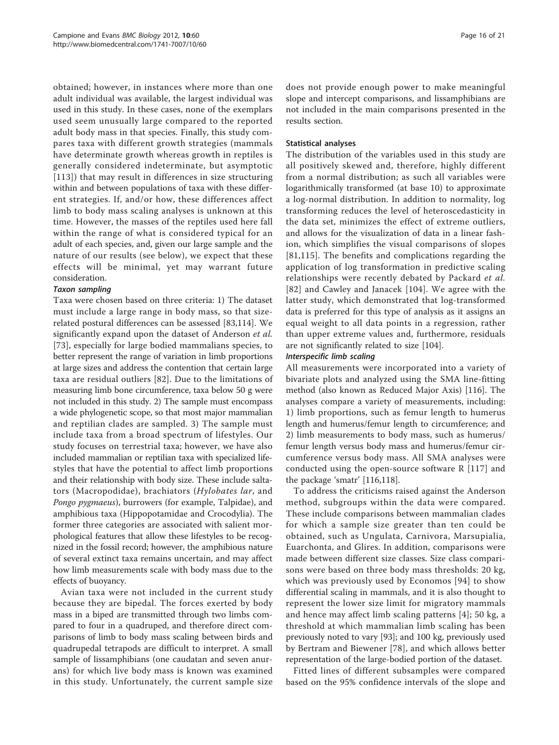obtained; however, in instances where more than one adult individual was available, the largest individual was used in this study. In these cases, none of the exemplars used seem unusually large compared to the reported adult body mass in that species. Finally, this study compares taxa with different growth strategies (mammals have determinate growth whereas growth in reptiles is generally considered indeterminate, but asymptotic [[113](#page-20-0)]) that may result in differences in size structuring within and between populations of taxa with these different strategies. If, and/or how, these differences affect limb to body mass scaling analyses is unknown at this time. However, the masses of the reptiles used here fall within the range of what is considered typical for an adult of each species, and, given our large sample and the nature of our results (see below), we expect that these effects will be minimal, yet may warrant future consideration.

## Taxon sampling

Taxa were chosen based on three criteria: 1) The dataset must include a large range in body mass, so that sizerelated postural differences can be assessed [[83,](#page-19-0)[114\]](#page-20-0). We significantly expand upon the dataset of Anderson *et al.* [[73](#page-19-0)], especially for large bodied mammalians species, to better represent the range of variation in limb proportions at large sizes and address the contention that certain large taxa are residual outliers [\[82](#page-19-0)]. Due to the limitations of measuring limb bone circumference, taxa below 50 g were not included in this study. 2) The sample must encompass a wide phylogenetic scope, so that most major mammalian and reptilian clades are sampled. 3) The sample must include taxa from a broad spectrum of lifestyles. Our study focuses on terrestrial taxa; however, we have also included mammalian or reptilian taxa with specialized lifestyles that have the potential to affect limb proportions and their relationship with body size. These include saltators (Macropodidae), brachiators (Hylobates lar, and Pongo pygmaeus), burrowers (for example, Talpidae), and amphibious taxa (Hippopotamidae and Crocodylia). The former three categories are associated with salient morphological features that allow these lifestyles to be recognized in the fossil record; however, the amphibious nature of several extinct taxa remains uncertain, and may affect how limb measurements scale with body mass due to the effects of buoyancy.

Avian taxa were not included in the current study because they are bipedal. The forces exerted by body mass in a biped are transmitted through two limbs compared to four in a quadruped, and therefore direct comparisons of limb to body mass scaling between birds and quadrupedal tetrapods are difficult to interpret. A small sample of lissamphibians (one caudatan and seven anurans) for which live body mass is known was examined in this study. Unfortunately, the current sample size does not provide enough power to make meaningful slope and intercept comparisons, and lissamphibians are not included in the main comparisons presented in the results section.

## Statistical analyses

The distribution of the variables used in this study are all positively skewed and, therefore, highly different from a normal distribution; as such all variables were logarithmically transformed (at base 10) to approximate a log-normal distribution. In addition to normality, log transforming reduces the level of heteroscedasticity in the data set, minimizes the effect of extreme outliers, and allows for the visualization of data in a linear fashion, which simplifies the visual comparisons of slopes [[81](#page-19-0)[,115\]](#page-20-0). The benefits and complications regarding the application of log transformation in predictive scaling relationships were recently debated by Packard et al. [[82](#page-19-0)] and Cawley and Janacek [\[104](#page-19-0)]. We agree with the latter study, which demonstrated that log-transformed data is preferred for this type of analysis as it assigns an equal weight to all data points in a regression, rather than upper extreme values and, furthermore, residuals are not significantly related to size [[104](#page-19-0)].

## Interspecific limb scaling

All measurements were incorporated into a variety of bivariate plots and analyzed using the SMA line-fitting method (also known as Reduced Major Axis) [[116\]](#page-20-0). The analyses compare a variety of measurements, including: 1) limb proportions, such as femur length to humerus length and humerus/femur length to circumference; and 2) limb measurements to body mass, such as humerus/ femur length versus body mass and humerus/femur circumference versus body mass. All SMA analyses were conducted using the open-source software R [\[117\]](#page-20-0) and the package 'smatr' [[116,118](#page-20-0)].

To address the criticisms raised against the Anderson method, subgroups within the data were compared. These include comparisons between mammalian clades for which a sample size greater than ten could be obtained, such as Ungulata, Carnivora, Marsupialia, Euarchonta, and Glires. In addition, comparisons were made between different size classes. Size class comparisons were based on three body mass thresholds: 20 kg, which was previously used by Economos [[94](#page-19-0)] to show differential scaling in mammals, and it is also thought to represent the lower size limit for migratory mammals and hence may affect limb scaling patterns [[4](#page-17-0)]; 50 kg, a threshold at which mammalian limb scaling has been previously noted to vary [[93](#page-19-0)]; and 100 kg, previously used by Bertram and Biewener [[78\]](#page-19-0), and which allows better representation of the large-bodied portion of the dataset.

Fitted lines of different subsamples were compared based on the 95% confidence intervals of the slope and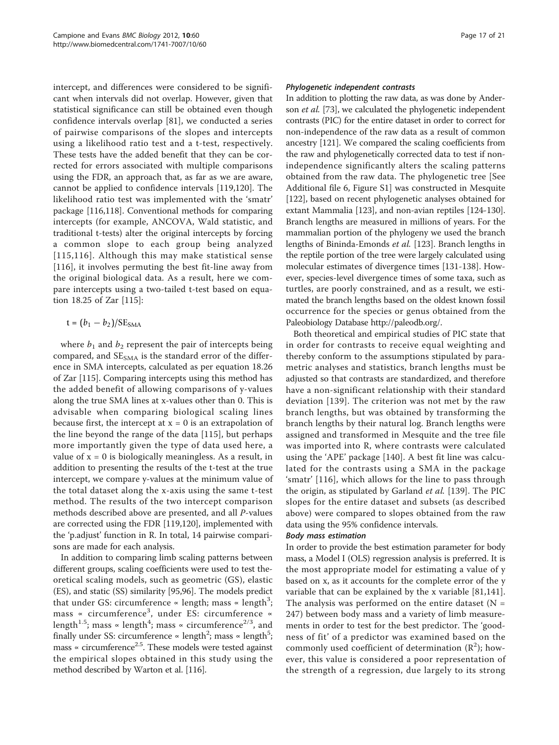intercept, and differences were considered to be significant when intervals did not overlap. However, given that statistical significance can still be obtained even though confidence intervals overlap [[81\]](#page-19-0), we conducted a series of pairwise comparisons of the slopes and intercepts using a likelihood ratio test and a t-test, respectively. These tests have the added benefit that they can be corrected for errors associated with multiple comparisons using the FDR, an approach that, as far as we are aware, cannot be applied to confidence intervals [[119,120\]](#page-20-0). The likelihood ratio test was implemented with the 'smatr' package [[116,118\]](#page-20-0). Conventional methods for comparing intercepts (for example, ANCOVA, Wald statistic, and traditional t-tests) alter the original intercepts by forcing a common slope to each group being analyzed [[115](#page-20-0),[116\]](#page-20-0). Although this may make statistical sense [[116](#page-20-0)], it involves permuting the best fit-line away from the original biological data. As a result, here we compare intercepts using a two-tailed t-test based on equation 18.25 of Zar [[115](#page-20-0)]:

# $t = (b_1 - b_2)/SE_{SMA}$

where  $b_1$  and  $b_2$  represent the pair of intercepts being compared, and  $SE<sub>SMA</sub>$  is the standard error of the difference in SMA intercepts, calculated as per equation 18.26 of Zar [\[115](#page-20-0)]. Comparing intercepts using this method has the added benefit of allowing comparisons of y-values along the true SMA lines at x-values other than 0. This is advisable when comparing biological scaling lines because first, the intercept at  $x = 0$  is an extrapolation of the line beyond the range of the data [[115\]](#page-20-0), but perhaps more importantly given the type of data used here, a value of  $x = 0$  is biologically meaningless. As a result, in addition to presenting the results of the t-test at the true intercept, we compare y-values at the minimum value of the total dataset along the x-axis using the same t-test method. The results of the two intercept comparison methods described above are presented, and all P-values are corrected using the FDR [\[119,120\]](#page-20-0), implemented with the 'p.adjust' function in R. In total, 14 pairwise comparisons are made for each analysis.

In addition to comparing limb scaling patterns between different groups, scaling coefficients were used to test theoretical scaling models, such as geometric (GS), elastic (ES), and static (SS) similarity [\[95,96\]](#page-19-0). The models predict that under GS: circumference « length; mass « length<sup>3</sup>; mass « circumference<sup>3</sup>, under ES: circumference « length $^{1.5}$ ; mass ∝ length $^4$ ; mass ∝ circumference $^{2/3}$ , and finally under SS: circumference ∝ length<sup>2</sup>; mass ∝ length<sup>5</sup>; mass « circumference<sup>2.5</sup>. These models were tested against the empirical slopes obtained in this study using the method described by Warton et al. [[116](#page-20-0)].

## Phylogenetic independent contrasts

In addition to plotting the raw data, as was done by Anderson et al. [\[73\]](#page-19-0), we calculated the phylogenetic independent contrasts (PIC) for the entire dataset in order to correct for non-independence of the raw data as a result of common ancestry [[121](#page-20-0)]. We compared the scaling coefficients from the raw and phylogenetically corrected data to test if nonindependence significantly alters the scaling patterns obtained from the raw data. The phylogenetic tree [See Additional file [6](#page-17-0), Figure S1] was constructed in Mesquite [[122\]](#page-20-0), based on recent phylogenetic analyses obtained for extant Mammalia [[123](#page-20-0)], and non-avian reptiles [[124](#page-20-0)-[130](#page-20-0)]. Branch lengths are measured in millions of years. For the mammalian portion of the phylogeny we used the branch lengths of Bininda-Emonds et al. [\[123\]](#page-20-0). Branch lengths in the reptile portion of the tree were largely calculated using molecular estimates of divergence times [\[131](#page-20-0)-[138](#page-20-0)]. However, species-level divergence times of some taxa, such as turtles, are poorly constrained, and as a result, we estimated the branch lengths based on the oldest known fossil occurrence for the species or genus obtained from the Paleobiology Database<http://paleodb.org/>.

Both theoretical and empirical studies of PIC state that in order for contrasts to receive equal weighting and thereby conform to the assumptions stipulated by parametric analyses and statistics, branch lengths must be adjusted so that contrasts are standardized, and therefore have a non-significant relationship with their standard deviation [[139\]](#page-20-0). The criterion was not met by the raw branch lengths, but was obtained by transforming the branch lengths by their natural log. Branch lengths were assigned and transformed in Mesquite and the tree file was imported into R, where contrasts were calculated using the 'APE' package [\[140](#page-20-0)]. A best fit line was calculated for the contrasts using a SMA in the package 'smatr' [[116\]](#page-20-0), which allows for the line to pass through the origin, as stipulated by Garland et al. [\[139](#page-20-0)]. The PIC slopes for the entire dataset and subsets (as described above) were compared to slopes obtained from the raw data using the 95% confidence intervals.

#### Body mass estimation

In order to provide the best estimation parameter for body mass, a Model I (OLS) regression analysis is preferred. It is the most appropriate model for estimating a value of y based on x, as it accounts for the complete error of the y variable that can be explained by the x variable [\[81](#page-19-0)[,141](#page-20-0)]. The analysis was performed on the entire dataset  $(N =$ 247) between body mass and a variety of limb measurements in order to test for the best predictor. The 'goodness of fit' of a predictor was examined based on the commonly used coefficient of determination  $(R^2)$ ; however, this value is considered a poor representation of the strength of a regression, due largely to its strong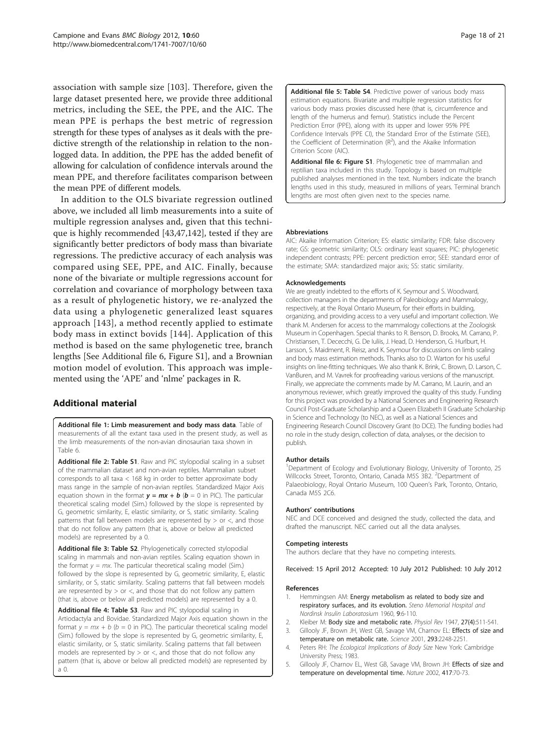<span id="page-17-0"></span>association with sample size [[103\]](#page-19-0). Therefore, given the large dataset presented here, we provide three additional metrics, including the SEE, the PPE, and the AIC. The mean PPE is perhaps the best metric of regression strength for these types of analyses as it deals with the predictive strength of the relationship in relation to the nonlogged data. In addition, the PPE has the added benefit of allowing for calculation of confidence intervals around the mean PPE, and therefore facilitates comparison between the mean PPE of different models.

In addition to the OLS bivariate regression outlined above, we included all limb measurements into a suite of multiple regression analyses and, given that this technique is highly recommended [[43,47,](#page-18-0)[142\]](#page-20-0), tested if they are significantly better predictors of body mass than bivariate regressions. The predictive accuracy of each analysis was compared using SEE, PPE, and AIC. Finally, because none of the bivariate or multiple regressions account for correlation and covariance of morphology between taxa as a result of phylogenetic history, we re-analyzed the data using a phylogenetic generalized least squares approach [[143](#page-20-0)], a method recently applied to estimate body mass in extinct bovids [[144](#page-20-0)]. Application of this method is based on the same phylogenetic tree, branch lengths [See Additional file 6, Figure S1], and a Brownian motion model of evolution. This approach was implemented using the 'APE' and 'nlme' packages in R.

# Additional material

[Additional file 1: L](http://www.biomedcentral.com/content/supplementary/1741-7007-10-60-S1.XLS)imb measurement and body mass data. Table of measurements of all the extant taxa used in the present study, as well as the limb measurements of the non-avian dinosaurian taxa shown in Table [6.](#page-14-0)

[Additional file 2: T](http://www.biomedcentral.com/content/supplementary/1741-7007-10-60-S2.DOC)able S1. Raw and PIC stylopodial scaling in a subset of the mammalian dataset and non-avian reptiles. Mammalian subset corresponds to all taxa < 168 kg in order to better approximate body mass range in the sample of non-avian reptiles. Standardized Major Axis equation shown in the format  $y = mx + b$  ( $b = 0$  in PIC). The particular theoretical scaling model (Sim.) followed by the slope is represented by G, geometric similarity, E, elastic similarity, or S, static similarity. Scaling patterns that fall between models are represented by  $>$  or  $<$ , and those that do not follow any pattern (that is, above or below all predicted models) are represented by a 0.

[Additional file 3: T](http://www.biomedcentral.com/content/supplementary/1741-7007-10-60-S3.DOC)able S2. Phylogenetically corrected stylopodial scaling in mammals and non-avian reptiles. Scaling equation shown in the format  $y = mx$ . The particular theoretical scaling model (Sim.) followed by the slope is represented by G, geometric similarity, E, elastic similarity, or S, static similarity. Scaling patterns that fall between models are represented by  $>$  or  $<$ , and those that do not follow any pattern (that is, above or below all predicted models) are represented by a 0.

[Additional file 4: T](http://www.biomedcentral.com/content/supplementary/1741-7007-10-60-S4.DOC)able S3. Raw and PIC stylopodial scaling in Artiodactyla and Bovidae. Standardized Major Axis equation shown in the format  $y = mx + b$  ( $b = 0$  in PIC). The particular theoretical scaling model (Sim.) followed by the slope is represented by G, geometric similarity, E, elastic similarity, or S, static similarity. Scaling patterns that fall between models are represented by  $>$  or  $<$ , and those that do not follow any pattern (that is, above or below all predicted models) are represented by a 0.

[Additional file 5: T](http://www.biomedcentral.com/content/supplementary/1741-7007-10-60-S5.DOC)able S4. Predictive power of various body mass estimation equations. Bivariate and multiple regression statistics for various body mass proxies discussed here (that is, circumference and length of the humerus and femur). Statistics include the Percent Prediction Error (PPE), along with its upper and lower 95% PPE Confidence Intervals (PPE CI), the Standard Error of the Estimate (SEE), the Coefficient of Determination  $(R^2)$ , and the Akaike Information Criterion Score (AIC).

[Additional file 6: F](http://www.biomedcentral.com/content/supplementary/1741-7007-10-60-S6.PDF)igure S1. Phylogenetic tree of mammalian and reptilian taxa included in this study. Topology is based on multiple published analyses mentioned in the text. Numbers indicate the branch lengths used in this study, measured in millions of years. Terminal branch lengths are most often given next to the species name.

#### Abbreviations

AIC: Akaike Information Criterion; ES: elastic similarity; FDR: false discovery rate; GS: geometric similarity; OLS: ordinary least squares; PIC: phylogenetic independent contrasts; PPE: percent prediction error; SEE: standard error of the estimate; SMA: standardized major axis; SS: static similarity.

#### Acknowledgements

We are greatly indebted to the efforts of K. Seymour and S. Woodward, collection managers in the departments of Paleobiology and Mammalogy, respectively, at the Royal Ontario Museum, for their efforts in building, organizing, and providing access to a very useful and important collection. We thank M. Andersen for access to the mammalogy collections at the Zoologisk Museum in Copenhagen. Special thanks to R. Benson, D. Brooks, M. Carrano, P. Christiansen, T. Dececchi, G. De Iuliis, J. Head, D. Henderson, G. Hurlburt, H. Larsson, S. Maidment, R. Reisz, and K. Seymour for discussions on limb scaling and body mass estimation methods. Thanks also to D. Warton for his useful insights on line-fitting techniques. We also thank K. Brink, C. Brown, D. Larson, C. VanBuren, and M. Vavrek for proofreading various versions of the manuscript. Finally, we appreciate the comments made by M. Carrano, M. Laurin, and an anonymous reviewer, which greatly improved the quality of this study. Funding for this project was provided by a National Sciences and Engineering Research Council Post-Graduate Scholarship and a Queen Elizabeth II Graduate Scholarship in Science and Technology (to NEC), as well as a National Sciences and Engineering Research Council Discovery Grant (to DCE). The funding bodies had no role in the study design, collection of data, analyses, or the decision to publish.

#### Author details

<sup>1</sup>Department of Ecology and Evolutionary Biology, University of Toronto, 25 Willcocks Street, Toronto, Ontario, Canada M5S 3B2. <sup>2</sup>Department of Palaeobiology, Royal Ontario Museum, 100 Queen's Park, Toronto, Ontario, Canada M5S 2C6.

#### Authors' contributions

NEC and DCE conceived and designed the study, collected the data, and drafted the manuscript. NEC carried out all the data analyses.

#### Competing interests

The authors declare that they have no competing interests.

Received: 15 April 2012 Accepted: 10 July 2012 Published: 10 July 2012

#### References

- 1. Hemmingsen AM: Energy metabolism as related to body size and respiratory surfaces, and its evolution. Steno Memorial Hospital and Nordinsk Insulin Laboratosium 1960, 9:6-110.
- 2. Kleiber M: [Body size and metabolic rate.](http://www.ncbi.nlm.nih.gov/pubmed/20267758?dopt=Abstract) Physiol Rev 1947, 27(4):511-541.
- 3. Gillooly JF, Brown JH, West GB, Savage VM, Charnov EL: [Effects of size and](http://www.ncbi.nlm.nih.gov/pubmed/11567137?dopt=Abstract) [temperature on metabolic rate.](http://www.ncbi.nlm.nih.gov/pubmed/11567137?dopt=Abstract) Science 2001, 293:2248-2251.
- 4. Peters RH: The Ecological Implications of Body Size New York: Cambridge University Press; 1983.
- 5. Gillooly JF, Charnov EL, West GB, Savage VM, Brown JH: [Effects of size and](http://www.ncbi.nlm.nih.gov/pubmed/11986667?dopt=Abstract) [temperature on developmental time.](http://www.ncbi.nlm.nih.gov/pubmed/11986667?dopt=Abstract) Nature 2002, 417:70-73.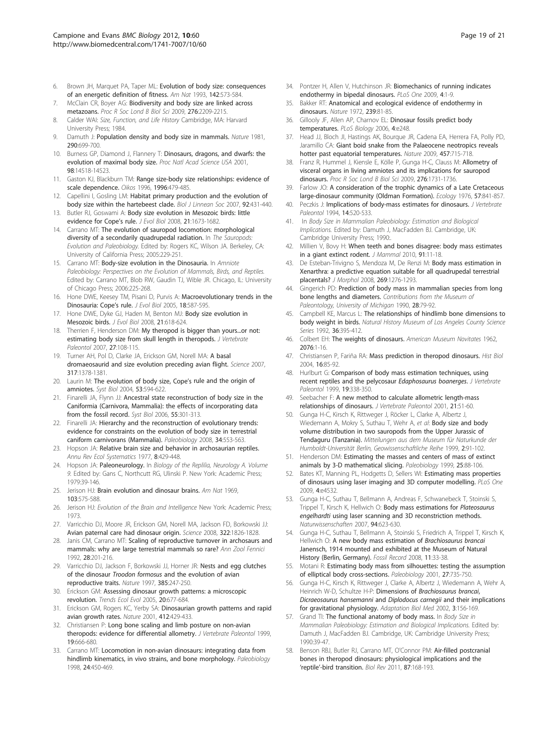- <span id="page-18-0"></span>6. Brown JH, Marquet PA, Taper ML: [Evolution of body size: consequences](http://www.ncbi.nlm.nih.gov/pubmed/19425961?dopt=Abstract) [of an energetic definition of fitness.](http://www.ncbi.nlm.nih.gov/pubmed/19425961?dopt=Abstract) Am Nat 1993, 142:573-584.
- 7. McClain CR, Boyer AG: Biodiversity and body size are linked across metazoans. Proc R Soc Lond B Biol Sci 2009, 276:2209-2215.
- 8. Calder WAI: Size, Function, and Life History Cambridge, MA: Harvard University Press; 1984.
- 9. Damuth J: Population density and body size in mammals. Nature 1981, 290:699-700.
- 10. Burness GP, Diamond J, Flannery T: Dinosaurs, dragons, and dwarfs: the evolution of maximal body size. Proc Natl Acad Science USA 2001. 98:14518-14523.
- 11. Gaston KJ, Blackburn TM: Range size-body size relationships: evidence of scale dependence. Oikos 1996, 1996:479-485.
- 12. Capellini I, Gosling LM: Habitat primary production and the evolution of body size within the hartebeest clade. Biol J Linnean Soc 2007, 92:431-440.
- 13. Butler RJ, Goswami A: [Body size evolution in Mesozoic birds: little](http://www.ncbi.nlm.nih.gov/pubmed/18691237?dopt=Abstract) [evidence for Cope](http://www.ncbi.nlm.nih.gov/pubmed/18691237?dopt=Abstract)'s rule. J Evol Biol 2008, 21:1673-1682.
- 14. Carrano MT: The evolution of sauropod locomotion: morphological diversity of a secondarily quadrupedal radiation. In The Sauropods: Evolution and Paleobiology. Edited by: Rogers KC, Wilson JA. Berkeley, CA: University of California Press; 2005:229-251.
- 15. Carrano MT: Body-size evolution in the Dinosauria. In Amniote Paleobiology: Perspectives on the Evolution of Mammals, Birds, and Reptiles. Edited by: Carrano MT, Blob RW, Gaudin TJ, Wible JR. Chicago, IL: University of Chicago Press; 2006:225-268.
- 16. Hone DWE, Keesey TM, Pisani D, Purvis A: [Macroevolutionary trends in the](http://www.ncbi.nlm.nih.gov/pubmed/15842488?dopt=Abstract) [Dinosauria: Cope](http://www.ncbi.nlm.nih.gov/pubmed/15842488?dopt=Abstract)'s rule. J Evol Biol 2005, 18:587-595.
- 17. Hone DWE, Dyke GJ, Haden M, Benton MJ: [Body size evolution in](http://www.ncbi.nlm.nih.gov/pubmed/18194232?dopt=Abstract) [Mesozoic birds.](http://www.ncbi.nlm.nih.gov/pubmed/18194232?dopt=Abstract) J Evol Biol 2008, 21:618-624.
- 18. Therrien F, Henderson DM: My theropod is bigger than yours...or not: estimating body size from skull length in theropods. J Vertebrate Paleontol 2007, 27:108-115.
- 19. Turner AH, Pol D, Clarke JA, Erickson GM, Norell MA: [A basal](http://www.ncbi.nlm.nih.gov/pubmed/17823350?dopt=Abstract) [dromaeosaurid and size evolution preceding avian flight.](http://www.ncbi.nlm.nih.gov/pubmed/17823350?dopt=Abstract) Science 2007, 317:1378-1381.
- 20. Laurin M: [The evolution of body size, Cope](http://www.ncbi.nlm.nih.gov/pubmed/15371249?dopt=Abstract)'s rule and the origin of [amniotes.](http://www.ncbi.nlm.nih.gov/pubmed/15371249?dopt=Abstract) Syst Biol 2004, 53:594-622.
- 21. Finarelli JA, Flynn JJ: [Ancestral state reconstruction of body size in the](http://www.ncbi.nlm.nih.gov/pubmed/16611601?dopt=Abstract) [Caniformia \(Carnivora, Mammalia\): the effects of incorporating data](http://www.ncbi.nlm.nih.gov/pubmed/16611601?dopt=Abstract) [from the fossil record.](http://www.ncbi.nlm.nih.gov/pubmed/16611601?dopt=Abstract) Syst Biol 2006, 55:301-313.
- 22. Finarelli JA: Hierarchy and the reconstruction of evolutionary trends: evidence for constraints on the evolution of body size in terrestrial caniform carnivorans (Mammalia). Paleobiology 2008, 34:553-563.
- 23. Hopson JA: Relative brain size and behavior in archosaurian reptiles. Annu Rev Ecol Systematics 1977, 8:429-448.
- 24. Hopson JA: Paleoneurology. In Biology of the Replilia, Neurology A. Volume 9. Edited by: Gans C, Northcutt RG, Ulinski P. New York: Academic Press; 1979:39-146.
- 25. Jerison HJ: Brain evolution and dinosaur brains. Am Nat 1969 103:575-588.
- 26. Jerison HJ: Evolution of the Brain and Intelligence New York: Academic Press; 1973.
- 27. Varricchio DJ, Moore JR, Erickson GM, Norell MA, Jackson FD, Borkowski JJ: [Avian paternal care had dinosaur origin.](http://www.ncbi.nlm.nih.gov/pubmed/19095938?dopt=Abstract) Science 2008, 322:1826-1828.
- 28. Janis CM, Carrano MT: Scaling of reproductive turnover in archosaurs and mammals: why are large terrestrial mammals so rare? Ann Zool Fennici 1992, 28:201-216.
- 29. Varricchio DJ, Jackson F, Borkowski JJ, Horner JR: Nests and egg clutches of the dinosaur Troodon formosus and the evolution of avian reproductive traits. Nature 1997, 385:247-250.
- 30. Erickson GM: [Assessing dinosaur growth patterns: a microscopic](http://www.ncbi.nlm.nih.gov/pubmed/16701457?dopt=Abstract) [revolution.](http://www.ncbi.nlm.nih.gov/pubmed/16701457?dopt=Abstract) Trends Ecol Evol 2005, 20:677-684.
- 31. Erickson GM, Rogers KC, Yerby SA: [Dinosaurian growth patterns and rapid](http://www.ncbi.nlm.nih.gov/pubmed/11473315?dopt=Abstract) [avian growth rates.](http://www.ncbi.nlm.nih.gov/pubmed/11473315?dopt=Abstract) Nature 2001, 412:429-433.
- 32. Christiansen P: Long bone scaling and limb posture on non-avian theropods: evidence for differential allometry. J Vertebrate Paleontol 1999, 19:666-680.
- 33. Carrano MT: Locomotion in non-avian dinosaurs: integrating data from hindlimb kinematics, in vivo strains, and bone morphology. Paleobiology 1998, 24:450-469.
- 34. Pontzer H, Allen V, Hutchinson JR: Biomechanics of running indicates endothermy in bipedal dinosaurs. PLoS One 2009, 4:1-9.
- 35. Bakker RT: Anatomical and ecological evidence of endothermy in dinosaurs. Nature 1972, 239:81-85.
- 36. Gillooly JF, Allen AP, Charnov EL: [Dinosaur fossils predict body](http://www.ncbi.nlm.nih.gov/pubmed/16817695?dopt=Abstract) [temperatures.](http://www.ncbi.nlm.nih.gov/pubmed/16817695?dopt=Abstract) PLoS Biology 2006, 4:e248.
- 37. Head JJ, Bloch JI, Hastings AK, Bourque JR, Cadena EA, Herrera FA, Polly PD, Jaramillo CA: [Giant boid snake from the Palaeocene neotropics reveals](http://www.ncbi.nlm.nih.gov/pubmed/19194448?dopt=Abstract) [hotter past equatorial temperatures.](http://www.ncbi.nlm.nih.gov/pubmed/19194448?dopt=Abstract) Nature 2009, 457:715-718.
- 38. Franz R, Hummel J, Kiensle E, Kölle P, Gunga H-C, Clauss M: Allometry of visceral organs in living amniotes and its implications for sauropod dinosaurs. Proc R Soc Lond B Biol Sci 2009, 276:1731-1736.
- 39. Farlow JO: A consideration of the trophic dynamics of a Late Cretaceous large-dinosaur community (Oldman Formation). Ecology 1976, 57:841-857.
- 40. Peczkis J: Implications of body-mass estimates for dinosaurs. J Vertebrate Paleontol 1994, 14:520-533.
- 41. In Body Size in Mammalian Paleobiology: Estimation and Biological Implications. Edited by: Damuth J, MacFadden BJ. Cambridge, UK: Cambridge University Press; 1990:.
- 42. Millien V, Bovy H: When teeth and bones disagree: body mass estimates in a giant extinct rodent. J Mammal 2010, 91:11-18.
- 43. De Esteban-Trivigno S, Mendoza M, De Renzi M: [Body mass estimation in](http://www.ncbi.nlm.nih.gov/pubmed/18655156?dopt=Abstract) [Xenarthra: a predictive equation suitable for all quadrupedal terrestrial](http://www.ncbi.nlm.nih.gov/pubmed/18655156?dopt=Abstract) [placentals?](http://www.ncbi.nlm.nih.gov/pubmed/18655156?dopt=Abstract) J Morphol 2008, 269:1276-1293.
- 44. Gingerich PD: Prediction of body mass in mammalian species from long bone lengths and diameters. Contributions from the Museum of Paleontology, University of Michigan 1990, 28:79-92.
- 45. Campbell KE, Marcus L: The relationships of hindlimb bone dimensions to body weight in birds. Natural History Museum of Los Angeles County Science Series 1992, 36:395-412.
- 46. Colbert EH: The weights of dinosaurs. American Museum Novitates 1962, 2076:1-16.
- 47. Christiansen P, Fariña RA: Mass prediction in theropod dinosaurs. Hist Biol 2004, 16:85-92.
- 48. Hurlburt G: Comparison of body mass estimation techniques, using recent reptiles and the pelycosaur Edaphosaurus boanerges. J Vertebrate Paleontol 1999, 19:338-350.
- 49. Seebacher F: A new method to calculate allometric length-mass relationships of dinosaurs. J Vertebrate Paleontol 2001, 21:51-60.
- 50. Gunga H-C, Kirsch K, Rittweger J, Röcker L, Clarke A, Albertz J, Wiedemann A, Mokry S, Suthau T, Wehr A, et al: Body size and body volume distribution in two sauropods from the Upper Jurassic of Tendaguru (Tanzania). Mitteilungen aus dem Museum für Naturkunde der Humboldt-Universität Berlin, Geowissenschaftliche Reihe 1999, 2:91-102.
- 51. Henderson DM: Estimating the masses and centers of mass of extinct animals by 3-D mathematical slicing. Paleobiology 1999, 25:88-106.
- Bates KT, Manning PL, Hodgetts D, Sellers WI: [Estimating mass properties](http://www.ncbi.nlm.nih.gov/pubmed/19225569?dopt=Abstract) [of dinosaurs using laser imaging and 3D computer modelling.](http://www.ncbi.nlm.nih.gov/pubmed/19225569?dopt=Abstract) PLoS One 2009, 4:e4532.
- 53. Gunga H-C, Suthau T, Bellmann A, Andreas F, Schwanebeck T, Stoinski S, Trippel T, Kirsch K, Hellwich O: [Body mass estimations for](http://www.ncbi.nlm.nih.gov/pubmed/17356876?dopt=Abstract) Plateosaurus engelhardti [using laser scanning and 3D reconstriction methods.](http://www.ncbi.nlm.nih.gov/pubmed/17356876?dopt=Abstract) Naturwissenschaften 2007, 94:623-630.
- 54. Gunga H-C, Suthau T, Bellmann A, Stoinski S, Friedrich A, Trippel T, Kirsch K, Hellwich O: A new body mass estimation of Brachiosaurus brancai Janensch, 1914 mounted and exhibited at the Museum of Natural History (Berlin, Germany). Fossil Record 2008, 11:33-38.
- 55. Motani R: Estimating body mass from silhouettes: testing the assumption of elliptical body cross-sections. Paleobiology 2001, 27:735-750.
- 56. Gunga H-C, Kirsch K, Rittweger J, Clarke A, Albertz J, Wiedemann A, Wehr A, Heinrich W-D, Schultze H-P: Dimensions of Brachiosaurus brancai, Dicraeosaurus hansemanni and Diplodocus carnegii and their implications for gravitational physiology. Adaptation Biol Med 2002, 3:156-169.
- 57. Grand TI: The functional anatomy of body mass. In Body Size in Mammalian Paleobiology: Estimation and Biological Implications. Edited by: Damuth J, MacFadden BJ. Cambridge, UK: Cambridge University Press; 1990:39-47.
- Benson RBJ, Butler RJ, Carrano MT, O'Connor PM: [Air-filled postcranial](http://www.ncbi.nlm.nih.gov/pubmed/21733078?dopt=Abstract) [bones in theropod dinosaurs: physiological implications and the](http://www.ncbi.nlm.nih.gov/pubmed/21733078?dopt=Abstract) 'reptile'[-bird transition.](http://www.ncbi.nlm.nih.gov/pubmed/21733078?dopt=Abstract) Biol Rev 2011, 87:168-193.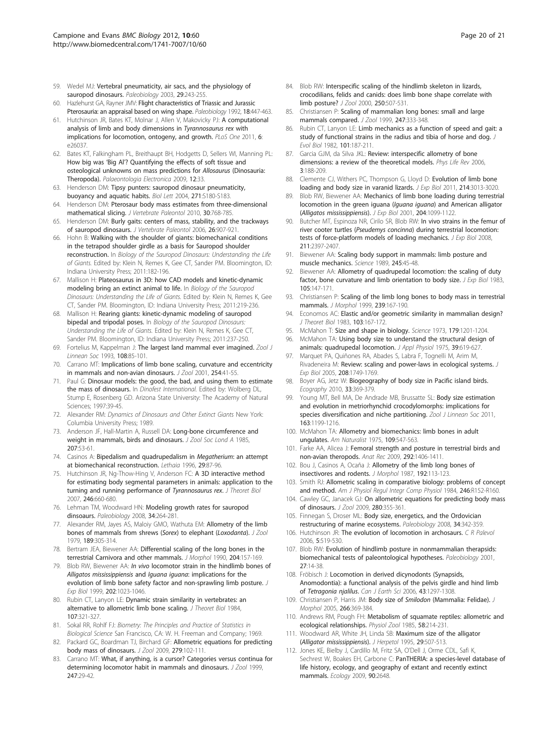- <span id="page-19-0"></span>59. Wedel MJ: Vertebral pneumaticity, air sacs, and the physiology of sauropod dinosaurs. Paleobiology 2003, 29:243-255.
- 60. Hazlehurst GA, Rayner JMV: Flight characteristics of Triassic and Jurassic Pterosauria: an appraisal based on wing shape. Paleobiology 1992, 18:447-463.
- 61. Hutchinson JR, Bates KT, Molnar J, Allen V, Makovicky PJ: [A computational](http://www.ncbi.nlm.nih.gov/pubmed/22022500?dopt=Abstract) [analysis of limb and body dimensions in](http://www.ncbi.nlm.nih.gov/pubmed/22022500?dopt=Abstract) Tyrannosaurus rex with [implications for locomotion, ontogeny, and growth.](http://www.ncbi.nlm.nih.gov/pubmed/22022500?dopt=Abstract) PLoS One 2011, 6: e26037.
- 62. Bates KT, Falkingham PL, Breithaupt BH, Hodgetts D, Sellers WI, Manning PL: How big was 'Big Al'? Quantifying the effects of soft tissue and osteological unknowns on mass predictions for Allosaurus (Dinosauria: Theropoda). Palaeontologia Electronica 2009, 12:33.
- 63. Henderson DM: Tipsy punters: sauropod dinosaur pneumaticity, buoyancy and aquatic habits. Biol Lett 2004, 271:S180-S183.
- 64. Henderson DM: Pterosaur body mass estimates from three-dimensional mathematical slicing. J Vertebrate Paleontol 2010, 30:768-785.
- 65. Henderson DM: Burly gaits: centers of mass, stability, and the trackways of sauropod dinosaurs. J Vertebrate Paleontol 2006, 26:907-921.
- 66. Hohn B: Walking with the shoulder of giants: biomechanical conditions in the tetrapod shoulder girdle as a basis for Sauropod shoulder reconstruction. In Biology of the Sauropod Dinosaurs: Understanding the Life of Giants. Edited by: Klein N, Remes K, Gee CT, Sander PM. Bloomington, ID: Indiana University Press; 2011:182-196.
- 67. Mallison H: Plateosaurus in 3D: how CAD models and kinetic-dynamic modeling bring an extinct animal to life. In Biology of the Sauropod Dinosaurs: Understanding the Life of Giants. Edited by: Klein N, Remes K, Gee CT, Sander PM. Bloomington, ID: Indiana University Press; 2011:219-236.
- 68. Mallison H: Rearing giants: kinetic-dynamic modeling of sauropod bipedal and tripodal poses. In Biology of the Sauropod Dinosaurs: Understanding the Life of Giants. Edited by: Klein N, Remes K, Gee CT, Sander PM. Bloomington, ID: Indiana University Press; 2011:237-250.
- 69. Fortelius M, Kappelman J: The largest land mammal ever imagined. Zool J Linnean Soc 1993, 108:85-101.
- 70. Carrano MT: Implications of limb bone scaling, curvature and eccentricity in mammals and non-avian dinosaurs. J Zool 2001, 254:41-55.
- 71. Paul G: Dinosaur models: the good, the bad, and using them to estimate the mass of dinosaurs. In Dinofest International. Edited by: Wolberg DL, Stump E, Rosenberg GD. Arizona State University: The Academy of Natural Sciences; 1997:39-45.
- 72. Alexander RM: Dynamics of Dinosaurs and Other Extinct Giants New York: Columbia University Press; 1989.
- 73. Anderson JF, Hall-Martin A, Russell DA: Long-bone circumference and weight in mammals, birds and dinosaurs. J Zool Soc Lond A 1985, 207:53-61.
- 74. Casinos A: Bipedalism and quadrupedalism in Megatherium: an attempt at biomechanical reconstruction. Lethaia 1996, 29:87-96.
- 75. Hutchinson JR, Ng-Thow-Hing V, Anderson FC: A 3D interactive method for estimating body segmental parameters in animals: application to the turning and running performance of Tyrannosaurus rex. J Theoret Biol 2007, 246:660-680.
- 76. Lehman TM, Woodward HN: Modeling growth rates for sauropod dinsoaurs. Paleobiology 2008, 34:264-281.
- 77. Alexander RM, Jayes AS, Maloiy GMO, Wathuta EM: Allometry of the limb bones of mammals from shrews (Sorex) to elephant (Loxodanta). J Zool 1979, 189:305-314.
- 78. Bertram JEA, Biewener AA: [Differential scaling of the long bones in the](http://www.ncbi.nlm.nih.gov/pubmed/2348461?dopt=Abstract) [terrestrial Carnivora and other mammals.](http://www.ncbi.nlm.nih.gov/pubmed/2348461?dopt=Abstract) J Morphol 1990, 204:157-169.
- 79. Blob RW, Biewener AA: In vivo [locomotor strain in the hindlimb bones of](http://www.ncbi.nlm.nih.gov/pubmed/10101104?dopt=Abstract) [Alligatos mississippiensis](http://www.ncbi.nlm.nih.gov/pubmed/10101104?dopt=Abstract) and Iguana iguana: implications for the [evolution of limb bone safety factor and non-sprawling limb posture.](http://www.ncbi.nlm.nih.gov/pubmed/10101104?dopt=Abstract) J Exp Biol 1999, 202:1023-1046.
- 80. Rubin CT, Lanyon LE: Dynamic strain similarity in vertebrates: an alternative to allometric limb bone scaling. J Theoret Biol 1984, 107:321-327.
- 81. Sokal RR, Rohlf FJ: Biometry: The Principles and Practice of Statistics in Biological Science San Francisco, CA: W. H. Freeman and Company; 1969.
- 82. Packard GC, Boardman TJ, Birchard GF: Allometric equations for predicting body mass of dinosaurs. J Zool 2009, 279:102-111.
- 83. Carrano MT: What, if anything, is a cursor? Categories versus continua for determining locomotor habit in mammals and dinosaurs. J Zool 1999, 247:29-42.
- 84. Blob RW: Interspecific scaling of the hindlimb skeleton in lizards, crocodilians, felids and canids: does limb bone shape correlate with limb posture? J Zool 2000, 250:507-531.
- 85. Christiansen P: Scaling of mammalian long bones: small and large mammals compared. *J Zool* 1999, 247:333-348.
- 86. Rubin CT, Lanyon LE: Limb mechanics as a function of speed and gait: a study of functional strains in the radius and tibia of horse and dog. J Evol Biol 1982, 101:187-211.
- 87. Garcia GJM, da Silva JKL: Review: interspecific allometry of bone dimensions: a review of the theoretical models. Phys Life Rev 2006, 3:188-209.
- 88. Clemente CJ, Withers PC, Thompson G, Lloyd D: [Evolution of limb bone](http://www.ncbi.nlm.nih.gov/pubmed/21865513?dopt=Abstract) [loading and body size in varanid lizards.](http://www.ncbi.nlm.nih.gov/pubmed/21865513?dopt=Abstract) J Exp Biol 2011, 214:3013-3020.
- Blob RW, Biewener AA: [Mechanics of limb bone loading during terrestrial](http://www.ncbi.nlm.nih.gov/pubmed/11222128?dopt=Abstract) [locomotion in the green iguana \(](http://www.ncbi.nlm.nih.gov/pubmed/11222128?dopt=Abstract)Iguana iguana) and American alligator ([Alligatos mississippiensis](http://www.ncbi.nlm.nih.gov/pubmed/11222128?dopt=Abstract)). J Exp Biol 2001, 204:1099-1122.
- 90. Butcher MT, Espinoza NR, Cirilo SR, Blob RW: [In vivo strains in the femur of](http://www.ncbi.nlm.nih.gov/pubmed/18626073?dopt=Abstract) river cooter turtles (Pseudemys concinna[\) during terrestrial locomotion:](http://www.ncbi.nlm.nih.gov/pubmed/18626073?dopt=Abstract) [tests of force-platform models of loading mechanics.](http://www.ncbi.nlm.nih.gov/pubmed/18626073?dopt=Abstract) J Exp Biol 2008, 211:2397-2407.
- 91. Biewener AA: [Scaling body support in mammals: limb posture and](http://www.ncbi.nlm.nih.gov/pubmed/2740914?dopt=Abstract) [muscle mechanics.](http://www.ncbi.nlm.nih.gov/pubmed/2740914?dopt=Abstract) Science 1989, 245:45-48.
- 92. Biewener AA: [Allometry of quadrupedal locomotion: the scaling of duty](http://www.ncbi.nlm.nih.gov/pubmed/6619724?dopt=Abstract) [factor, bone curvature and limb orientation to body size.](http://www.ncbi.nlm.nih.gov/pubmed/6619724?dopt=Abstract) J Exp Biol 1983, 105:147-171.
- 93. Christiansen P: [Scaling of the limb long bones to body mass in terrestrial](http://www.ncbi.nlm.nih.gov/pubmed/9951716?dopt=Abstract) [mammals.](http://www.ncbi.nlm.nih.gov/pubmed/9951716?dopt=Abstract) J Morphol 1999, 239:167-190.
- 94. Economos AC: Elastic and/or geometric similarity in mammalian design? J Theoret Biol 1983, 103:167-172.
- 95. McMahon T: [Size and shape in biology.](http://www.ncbi.nlm.nih.gov/pubmed/4689015?dopt=Abstract) Science 1973, 179:1201-1204.
- 96. McMahon TA: [Using body size to understand the structural design of](http://www.ncbi.nlm.nih.gov/pubmed/1194153?dopt=Abstract) [animals: quadrupedal locomotion.](http://www.ncbi.nlm.nih.gov/pubmed/1194153?dopt=Abstract) J Appl Physiol 1975, 39:619-627.
- 97. Marquet PA, Quiñones RA, Abades S, Labra F, Tognelli M, Arim M, Rivadeneira M: [Review: scaling and power-laws in ecological systems.](http://www.ncbi.nlm.nih.gov/pubmed/15855405?dopt=Abstract) J Exp Biol 2005, 208:1749-1769.
- 98. Boyer AG, Jetz W: Biogeography of body size in Pacific island birds. Ecography 2010, 33:369-379.
- 99. Young MT, Bell MA, De Andrade MB, Brussatte SL: Body size estimation and evolution in metriorhynchid crocodylomorphs: implications for species diversification and niche partitioning. Zool J Linnean Soc 2011, 163:1199-1216.
- 100. McMahon TA: Allometry and biomechanics: limb bones in adult ungulates. Am Naturalist 1975, 109:547-563.
- 101. Farke AA, Alicea J: Femoral strength and posture in terrestrial birds and non-avian theropods. Anat Rec 2009, 292:1406-1411.
- 102. Bou J, Casinos A, Ocaña J: [Allometry of the limb long bones of](http://www.ncbi.nlm.nih.gov/pubmed/3599079?dopt=Abstract) [insectivores and rodents.](http://www.ncbi.nlm.nih.gov/pubmed/3599079?dopt=Abstract) J Morphol 1987, 192:113-123.
- 103. Smith RJ: Allometric scaling in comparative biology: problems of concept and method. Am J Physiol Regul Integr Comp Physiol 1984, 246:R152-R160.
- 104. Cawley GC, Janacek GJ: On allometric equations for predicting body mass of dinosaurs. J Zool 2009, 280:355-361.
- 105. Finnegan S, Droser ML: Body size, energetics, and the Ordovician restructuring of marine ecosystems. Paleobiology 2008, 34:342-359.
- 106. Hutchinson JR: The evolution of locomotion in archosaurs. C R Palevol 2006, 5:519-530.
- 107. Blob RW: Evolution of hindlimb posture in nonmammalian therapsids: biomechanical tests of paleontological hypotheses. Paleobiology 2001, 27:14-38.
- 108. Fröbisch J: Locomotion in derived dicynodonts (Synapsids, Anomodontia): a functional analysis of the pelvis girdle and hind limb of Tetragonia njalilus. Can J Earth Sci 2006, 43:1297-1308.
- 109. Christiansen P, Harris JM: Body size of Smilodon [\(Mammalia: Felidae\).](http://www.ncbi.nlm.nih.gov/pubmed/16235255?dopt=Abstract) J Morphol 2005, 266:369-384.
- 110. Andrews RM, Pough FH: Metabolism of squamate reptiles: allometric and ecological relationships. Physiol Zool 1985, 58:214-231.
- 111. Woodward AR, White JH, Linda SB: Maximum size of the alligator (Alligator mississippiensis). J Herpetol 1995, 29:507-513.
- 112. Jones KE, Bielby J, Cardillo M, Fritz SA, O'Dell J, Orme CDL, Safi K, Sechrest W, Boakes EH, Carbone C: PanTHERIA: a species-level database of life history, ecology, and geography of extant and recently extinct mammals. Ecology 2009, 90:2648.